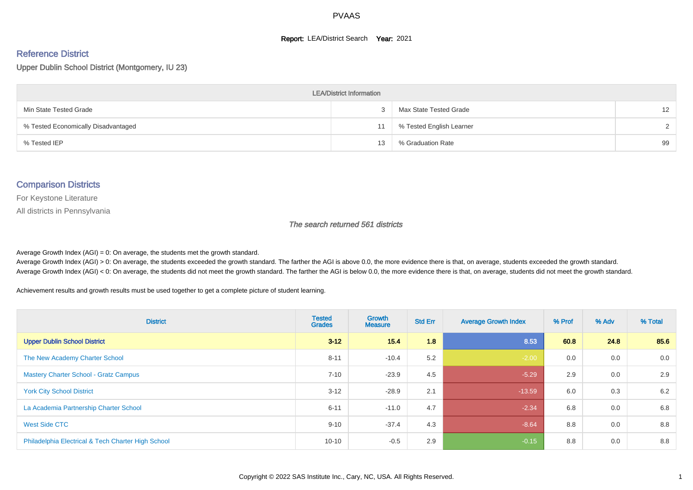#### **Report: LEA/District Search Year: 2021**

# Reference District

Upper Dublin School District (Montgomery, IU 23)

| <b>LEA/District Information</b>     |    |                          |               |  |  |  |  |  |  |  |
|-------------------------------------|----|--------------------------|---------------|--|--|--|--|--|--|--|
| Min State Tested Grade              |    | Max State Tested Grade   | 12            |  |  |  |  |  |  |  |
| % Tested Economically Disadvantaged | 11 | % Tested English Learner | $\mathcal{D}$ |  |  |  |  |  |  |  |
| % Tested IEP                        | 13 | % Graduation Rate        | 99            |  |  |  |  |  |  |  |

#### Comparison Districts

For Keystone Literature

All districts in Pennsylvania

The search returned 561 districts

Average Growth Index  $(AGI) = 0$ : On average, the students met the growth standard.

Average Growth Index (AGI) > 0: On average, the students exceeded the growth standard. The farther the AGI is above 0.0, the more evidence there is that, on average, students exceeded the growth standard. Average Growth Index (AGI) < 0: On average, the students did not meet the growth standard. The farther the AGI is below 0.0, the more evidence there is that, on average, students did not meet the growth standard.

Achievement results and growth results must be used together to get a complete picture of student learning.

| <b>District</b>                                    | <b>Tested</b><br><b>Grades</b> | <b>Growth</b><br><b>Measure</b> | <b>Std Err</b> | <b>Average Growth Index</b> | % Prof | % Adv | % Total |
|----------------------------------------------------|--------------------------------|---------------------------------|----------------|-----------------------------|--------|-------|---------|
| <b>Upper Dublin School District</b>                | $3 - 12$                       | 15.4                            | 1.8            | 8.53                        | 60.8   | 24.8  | 85.6    |
| The New Academy Charter School                     | $8 - 11$                       | $-10.4$                         | 5.2            | $-2.00$                     | 0.0    | 0.0   | 0.0     |
| <b>Mastery Charter School - Gratz Campus</b>       | $7 - 10$                       | $-23.9$                         | 4.5            | $-5.29$                     | 2.9    | 0.0   | 2.9     |
| <b>York City School District</b>                   | $3 - 12$                       | $-28.9$                         | 2.1            | $-13.59$                    | 6.0    | 0.3   | 6.2     |
| La Academia Partnership Charter School             | $6 - 11$                       | $-11.0$                         | 4.7            | $-2.34$                     | 6.8    | 0.0   | 6.8     |
| West Side CTC                                      | $9 - 10$                       | $-37.4$                         | 4.3            | $-8.64$                     | 8.8    | 0.0   | 8.8     |
| Philadelphia Electrical & Tech Charter High School | $10 - 10$                      | $-0.5$                          | 2.9            | $-0.15$                     | 8.8    | 0.0   | 8.8     |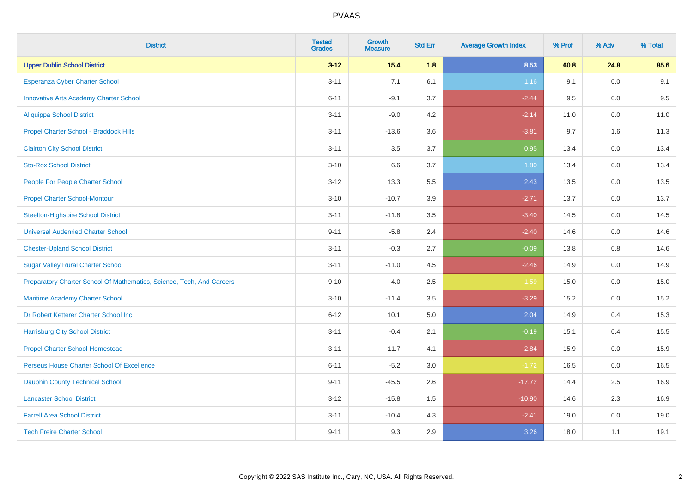| <b>District</b>                                                       | <b>Tested</b><br><b>Grades</b> | <b>Growth</b><br><b>Measure</b> | <b>Std Err</b> | <b>Average Growth Index</b> | % Prof | % Adv   | % Total |
|-----------------------------------------------------------------------|--------------------------------|---------------------------------|----------------|-----------------------------|--------|---------|---------|
| <b>Upper Dublin School District</b>                                   | $3 - 12$                       | 15.4                            | 1.8            | 8.53                        | 60.8   | 24.8    | 85.6    |
| Esperanza Cyber Charter School                                        | $3 - 11$                       | 7.1                             | 6.1            | 1.16                        | 9.1    | 0.0     | 9.1     |
| <b>Innovative Arts Academy Charter School</b>                         | $6 - 11$                       | $-9.1$                          | 3.7            | $-2.44$                     | 9.5    | 0.0     | 9.5     |
| <b>Aliquippa School District</b>                                      | $3 - 11$                       | $-9.0$                          | 4.2            | $-2.14$                     | 11.0   | $0.0\,$ | 11.0    |
| Propel Charter School - Braddock Hills                                | $3 - 11$                       | $-13.6$                         | 3.6            | $-3.81$                     | 9.7    | 1.6     | 11.3    |
| <b>Clairton City School District</b>                                  | $3 - 11$                       | 3.5                             | 3.7            | 0.95                        | 13.4   | 0.0     | 13.4    |
| <b>Sto-Rox School District</b>                                        | $3 - 10$                       | 6.6                             | 3.7            | 1.80                        | 13.4   | $0.0\,$ | 13.4    |
| People For People Charter School                                      | $3 - 12$                       | 13.3                            | 5.5            | 2.43                        | 13.5   | 0.0     | 13.5    |
| <b>Propel Charter School-Montour</b>                                  | $3 - 10$                       | $-10.7$                         | 3.9            | $-2.71$                     | 13.7   | 0.0     | 13.7    |
| <b>Steelton-Highspire School District</b>                             | $3 - 11$                       | $-11.8$                         | 3.5            | $-3.40$                     | 14.5   | $0.0\,$ | 14.5    |
| <b>Universal Audenried Charter School</b>                             | $9 - 11$                       | $-5.8$                          | 2.4            | $-2.40$                     | 14.6   | 0.0     | 14.6    |
| <b>Chester-Upland School District</b>                                 | $3 - 11$                       | $-0.3$                          | 2.7            | $-0.09$                     | 13.8   | 0.8     | 14.6    |
| <b>Sugar Valley Rural Charter School</b>                              | $3 - 11$                       | $-11.0$                         | 4.5            | $-2.46$                     | 14.9   | $0.0\,$ | 14.9    |
| Preparatory Charter School Of Mathematics, Science, Tech, And Careers | $9 - 10$                       | $-4.0$                          | 2.5            | $-1.59$                     | 15.0   | 0.0     | 15.0    |
| <b>Maritime Academy Charter School</b>                                | $3 - 10$                       | $-11.4$                         | 3.5            | $-3.29$                     | 15.2   | 0.0     | 15.2    |
| Dr Robert Ketterer Charter School Inc                                 | $6 - 12$                       | 10.1                            | 5.0            | 2.04                        | 14.9   | 0.4     | 15.3    |
| <b>Harrisburg City School District</b>                                | $3 - 11$                       | $-0.4$                          | 2.1            | $-0.19$                     | 15.1   | 0.4     | 15.5    |
| <b>Propel Charter School-Homestead</b>                                | $3 - 11$                       | $-11.7$                         | 4.1            | $-2.84$                     | 15.9   | 0.0     | 15.9    |
| Perseus House Charter School Of Excellence                            | $6 - 11$                       | $-5.2$                          | 3.0            | $-1.72$                     | 16.5   | $0.0\,$ | 16.5    |
| <b>Dauphin County Technical School</b>                                | $9 - 11$                       | $-45.5$                         | 2.6            | $-17.72$                    | 14.4   | 2.5     | 16.9    |
| <b>Lancaster School District</b>                                      | $3 - 12$                       | $-15.8$                         | 1.5            | $-10.90$                    | 14.6   | 2.3     | 16.9    |
| <b>Farrell Area School District</b>                                   | $3 - 11$                       | $-10.4$                         | 4.3            | $-2.41$                     | 19.0   | 0.0     | 19.0    |
| <b>Tech Freire Charter School</b>                                     | $9 - 11$                       | 9.3                             | 2.9            | 3.26                        | 18.0   | 1.1     | 19.1    |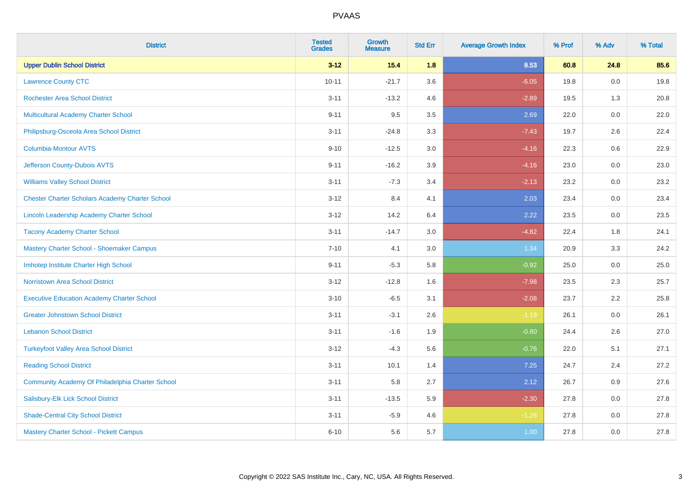| <b>District</b>                                        | <b>Tested</b><br><b>Grades</b> | <b>Growth</b><br><b>Measure</b> | <b>Std Err</b> | <b>Average Growth Index</b> | % Prof | % Adv | % Total |
|--------------------------------------------------------|--------------------------------|---------------------------------|----------------|-----------------------------|--------|-------|---------|
| <b>Upper Dublin School District</b>                    | $3 - 12$                       | $15.4$                          | 1.8            | 8.53                        | 60.8   | 24.8  | 85.6    |
| <b>Lawrence County CTC</b>                             | $10 - 11$                      | $-21.7$                         | 3.6            | $-6.05$                     | 19.8   | 0.0   | 19.8    |
| <b>Rochester Area School District</b>                  | $3 - 11$                       | $-13.2$                         | 4.6            | $-2.89$                     | 19.5   | 1.3   | 20.8    |
| Multicultural Academy Charter School                   | $9 - 11$                       | 9.5                             | 3.5            | 2.69                        | 22.0   | 0.0   | 22.0    |
| Philipsburg-Osceola Area School District               | $3 - 11$                       | $-24.8$                         | 3.3            | $-7.43$                     | 19.7   | 2.6   | 22.4    |
| <b>Columbia-Montour AVTS</b>                           | $9 - 10$                       | $-12.5$                         | 3.0            | $-4.16$                     | 22.3   | 0.6   | 22.9    |
| Jefferson County-Dubois AVTS                           | $9 - 11$                       | $-16.2$                         | 3.9            | $-4.16$                     | 23.0   | 0.0   | 23.0    |
| <b>Williams Valley School District</b>                 | $3 - 11$                       | $-7.3$                          | 3.4            | $-2.13$                     | 23.2   | 0.0   | 23.2    |
| <b>Chester Charter Scholars Academy Charter School</b> | $3 - 12$                       | 8.4                             | 4.1            | 2.03                        | 23.4   | 0.0   | 23.4    |
| Lincoln Leadership Academy Charter School              | $3 - 12$                       | 14.2                            | 6.4            | 2.22                        | 23.5   | 0.0   | 23.5    |
| <b>Tacony Academy Charter School</b>                   | $3 - 11$                       | $-14.7$                         | 3.0            | $-4.82$                     | 22.4   | 1.8   | 24.1    |
| Mastery Charter School - Shoemaker Campus              | $7 - 10$                       | 4.1                             | 3.0            | 1.34                        | 20.9   | 3.3   | 24.2    |
| Imhotep Institute Charter High School                  | $9 - 11$                       | $-5.3$                          | 5.8            | $-0.92$                     | 25.0   | 0.0   | 25.0    |
| <b>Norristown Area School District</b>                 | $3 - 12$                       | $-12.8$                         | 1.6            | $-7.98$                     | 23.5   | 2.3   | 25.7    |
| <b>Executive Education Academy Charter School</b>      | $3 - 10$                       | $-6.5$                          | 3.1            | $-2.08$                     | 23.7   | 2.2   | 25.8    |
| <b>Greater Johnstown School District</b>               | $3 - 11$                       | $-3.1$                          | 2.6            | $-1.19$                     | 26.1   | 0.0   | 26.1    |
| <b>Lebanon School District</b>                         | $3 - 11$                       | $-1.6$                          | 1.9            | $-0.80$                     | 24.4   | 2.6   | 27.0    |
| <b>Turkeyfoot Valley Area School District</b>          | $3 - 12$                       | $-4.3$                          | 5.6            | $-0.76$                     | 22.0   | 5.1   | 27.1    |
| <b>Reading School District</b>                         | $3 - 11$                       | 10.1                            | 1.4            | 7.25                        | 24.7   | 2.4   | 27.2    |
| Community Academy Of Philadelphia Charter School       | $3 - 11$                       | 5.8                             | 2.7            | 2.12                        | 26.7   | 0.9   | 27.6    |
| Salisbury-Elk Lick School District                     | $3 - 11$                       | $-13.5$                         | 5.9            | $-2.30$                     | 27.8   | 0.0   | 27.8    |
| <b>Shade-Central City School District</b>              | $3 - 11$                       | $-5.9$                          | 4.6            | $-1.28$                     | 27.8   | 0.0   | 27.8    |
| <b>Mastery Charter School - Pickett Campus</b>         | $6 - 10$                       | 5.6                             | 5.7            | 1.00                        | 27.8   | 0.0   | 27.8    |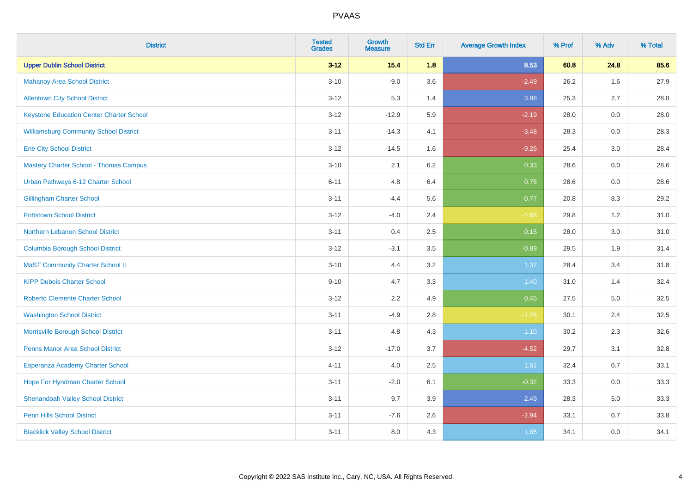| <b>District</b>                                 | <b>Tested</b><br><b>Grades</b> | <b>Growth</b><br><b>Measure</b> | <b>Std Err</b> | <b>Average Growth Index</b> | % Prof | % Adv   | % Total |
|-------------------------------------------------|--------------------------------|---------------------------------|----------------|-----------------------------|--------|---------|---------|
| <b>Upper Dublin School District</b>             | $3 - 12$                       | 15.4                            | 1.8            | 8.53                        | 60.8   | 24.8    | 85.6    |
| <b>Mahanoy Area School District</b>             | $3 - 10$                       | $-9.0$                          | 3.6            | $-2.49$                     | 26.2   | 1.6     | 27.9    |
| <b>Allentown City School District</b>           | $3 - 12$                       | 5.3                             | 1.4            | 3.88                        | 25.3   | 2.7     | 28.0    |
| <b>Keystone Education Center Charter School</b> | $3 - 12$                       | $-12.9$                         | 5.9            | $-2.19$                     | 28.0   | $0.0\,$ | 28.0    |
| <b>Williamsburg Community School District</b>   | $3 - 11$                       | $-14.3$                         | 4.1            | $-3.48$                     | 28.3   | 0.0     | 28.3    |
| <b>Erie City School District</b>                | $3 - 12$                       | $-14.5$                         | 1.6            | $-9.26$                     | 25.4   | 3.0     | 28.4    |
| <b>Mastery Charter School - Thomas Campus</b>   | $3 - 10$                       | 2.1                             | 6.2            | 0.33                        | 28.6   | 0.0     | 28.6    |
| Urban Pathways 6-12 Charter School              | $6 - 11$                       | 4.8                             | 6.4            | 0.75                        | 28.6   | 0.0     | 28.6    |
| <b>Gillingham Charter School</b>                | $3 - 11$                       | $-4.4$                          | 5.6            | $-0.77$                     | 20.8   | 8.3     | 29.2    |
| <b>Pottstown School District</b>                | $3 - 12$                       | $-4.0$                          | 2.4            | $-1.68$                     | 29.8   | 1.2     | 31.0    |
| Northern Lebanon School District                | $3 - 11$                       | 0.4                             | 2.5            | 0.15                        | 28.0   | 3.0     | 31.0    |
| <b>Columbia Borough School District</b>         | $3 - 12$                       | $-3.1$                          | 3.5            | $-0.89$                     | 29.5   | 1.9     | 31.4    |
| <b>MaST Community Charter School II</b>         | $3 - 10$                       | 4.4                             | 3.2            | 1.37                        | 28.4   | 3.4     | 31.8    |
| <b>KIPP Dubois Charter School</b>               | $9 - 10$                       | 4.7                             | 3.3            | 1.40                        | 31.0   | 1.4     | 32.4    |
| <b>Roberto Clemente Charter School</b>          | $3 - 12$                       | 2.2                             | 4.9            | 0.45                        | 27.5   | $5.0\,$ | 32.5    |
| <b>Washington School District</b>               | $3 - 11$                       | $-4.9$                          | 2.8            | $-1.76$                     | 30.1   | 2.4     | 32.5    |
| Morrisville Borough School District             | $3 - 11$                       | 4.8                             | 4.3            | $1.10$                      | 30.2   | 2.3     | 32.6    |
| <b>Penns Manor Area School District</b>         | $3 - 12$                       | $-17.0$                         | 3.7            | $-4.52$                     | 29.7   | 3.1     | 32.8    |
| Esperanza Academy Charter School                | $4 - 11$                       | 4.0                             | 2.5            | 1.61                        | 32.4   | 0.7     | 33.1    |
| Hope For Hyndman Charter School                 | $3 - 11$                       | $-2.0$                          | 6.1            | $-0.32$                     | 33.3   | 0.0     | 33.3    |
| <b>Shenandoah Valley School District</b>        | $3 - 11$                       | 9.7                             | 3.9            | 2.49                        | 28.3   | 5.0     | 33.3    |
| <b>Penn Hills School District</b>               | $3 - 11$                       | $-7.6$                          | 2.6            | $-2.94$                     | 33.1   | 0.7     | 33.8    |
| <b>Blacklick Valley School District</b>         | $3 - 11$                       | 8.0                             | 4.3            | 1.85                        | 34.1   | 0.0     | 34.1    |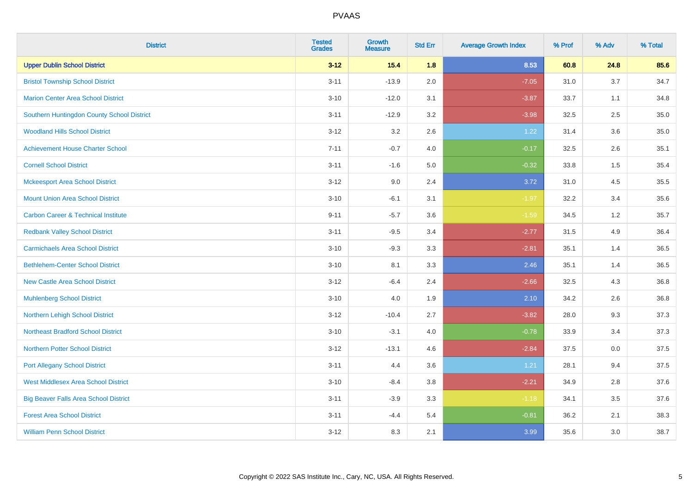| <b>District</b>                                | <b>Tested</b><br><b>Grades</b> | Growth<br><b>Measure</b> | <b>Std Err</b> | <b>Average Growth Index</b> | % Prof | % Adv | % Total |
|------------------------------------------------|--------------------------------|--------------------------|----------------|-----------------------------|--------|-------|---------|
| <b>Upper Dublin School District</b>            | $3 - 12$                       | $15.4$                   | 1.8            | 8.53                        | 60.8   | 24.8  | 85.6    |
| <b>Bristol Township School District</b>        | $3 - 11$                       | $-13.9$                  | 2.0            | $-7.05$                     | 31.0   | 3.7   | 34.7    |
| <b>Marion Center Area School District</b>      | $3 - 10$                       | $-12.0$                  | 3.1            | $-3.87$                     | 33.7   | 1.1   | 34.8    |
| Southern Huntingdon County School District     | $3 - 11$                       | $-12.9$                  | 3.2            | $-3.98$                     | 32.5   | 2.5   | 35.0    |
| <b>Woodland Hills School District</b>          | $3 - 12$                       | 3.2                      | 2.6            | 1.22                        | 31.4   | 3.6   | 35.0    |
| <b>Achievement House Charter School</b>        | $7 - 11$                       | $-0.7$                   | 4.0            | $-0.17$                     | 32.5   | 2.6   | 35.1    |
| <b>Cornell School District</b>                 | $3 - 11$                       | $-1.6$                   | 5.0            | $-0.32$                     | 33.8   | 1.5   | 35.4    |
| <b>Mckeesport Area School District</b>         | $3 - 12$                       | 9.0                      | 2.4            | 3.72                        | 31.0   | 4.5   | 35.5    |
| <b>Mount Union Area School District</b>        | $3 - 10$                       | $-6.1$                   | 3.1            | $-1.97$                     | 32.2   | 3.4   | 35.6    |
| <b>Carbon Career &amp; Technical Institute</b> | $9 - 11$                       | $-5.7$                   | 3.6            | $-1.59$                     | 34.5   | 1.2   | 35.7    |
| <b>Redbank Valley School District</b>          | $3 - 11$                       | $-9.5$                   | 3.4            | $-2.77$                     | 31.5   | 4.9   | 36.4    |
| <b>Carmichaels Area School District</b>        | $3 - 10$                       | $-9.3$                   | 3.3            | $-2.81$                     | 35.1   | 1.4   | 36.5    |
| <b>Bethlehem-Center School District</b>        | $3 - 10$                       | 8.1                      | 3.3            | 2.46                        | 35.1   | 1.4   | 36.5    |
| <b>New Castle Area School District</b>         | $3 - 12$                       | $-6.4$                   | 2.4            | $-2.66$                     | 32.5   | 4.3   | 36.8    |
| <b>Muhlenberg School District</b>              | $3 - 10$                       | 4.0                      | 1.9            | 2.10                        | 34.2   | 2.6   | 36.8    |
| Northern Lehigh School District                | $3 - 12$                       | $-10.4$                  | 2.7            | $-3.82$                     | 28.0   | 9.3   | 37.3    |
| <b>Northeast Bradford School District</b>      | $3 - 10$                       | $-3.1$                   | 4.0            | $-0.78$                     | 33.9   | 3.4   | 37.3    |
| <b>Northern Potter School District</b>         | $3 - 12$                       | $-13.1$                  | 4.6            | $-2.84$                     | 37.5   | 0.0   | 37.5    |
| <b>Port Allegany School District</b>           | $3 - 11$                       | 4.4                      | 3.6            | 1.21                        | 28.1   | 9.4   | 37.5    |
| <b>West Middlesex Area School District</b>     | $3 - 10$                       | $-8.4$                   | $3.8\,$        | $-2.21$                     | 34.9   | 2.8   | 37.6    |
| <b>Big Beaver Falls Area School District</b>   | $3 - 11$                       | $-3.9$                   | 3.3            | $-1.18$                     | 34.1   | 3.5   | 37.6    |
| <b>Forest Area School District</b>             | $3 - 11$                       | $-4.4$                   | 5.4            | $-0.81$                     | 36.2   | 2.1   | 38.3    |
| <b>William Penn School District</b>            | $3 - 12$                       | 8.3                      | 2.1            | 3.99                        | 35.6   | 3.0   | 38.7    |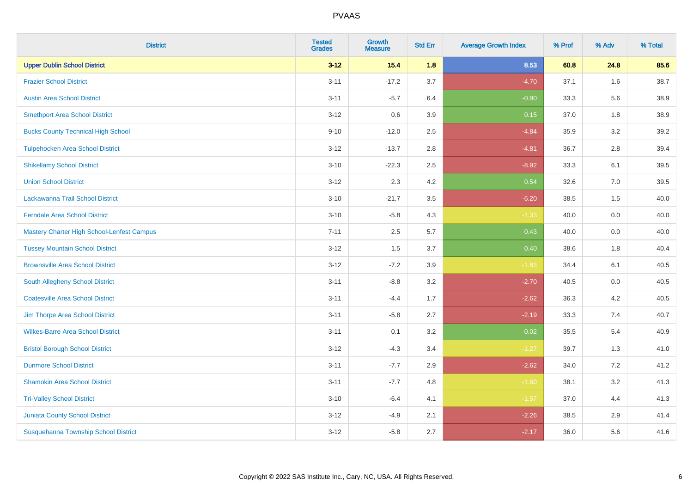| <b>District</b>                            | <b>Tested</b><br><b>Grades</b> | Growth<br><b>Measure</b> | <b>Std Err</b> | <b>Average Growth Index</b> | % Prof | % Adv   | % Total |
|--------------------------------------------|--------------------------------|--------------------------|----------------|-----------------------------|--------|---------|---------|
| <b>Upper Dublin School District</b>        | $3 - 12$                       | $15.4$                   | 1.8            | 8.53                        | 60.8   | 24.8    | 85.6    |
| <b>Frazier School District</b>             | $3 - 11$                       | $-17.2$                  | 3.7            | $-4.70$                     | 37.1   | 1.6     | 38.7    |
| <b>Austin Area School District</b>         | $3 - 11$                       | $-5.7$                   | 6.4            | $-0.90$                     | 33.3   | 5.6     | 38.9    |
| <b>Smethport Area School District</b>      | $3 - 12$                       | 0.6                      | 3.9            | 0.15                        | 37.0   | $1.8\,$ | 38.9    |
| <b>Bucks County Technical High School</b>  | $9 - 10$                       | $-12.0$                  | 2.5            | $-4.84$                     | 35.9   | 3.2     | 39.2    |
| <b>Tulpehocken Area School District</b>    | $3 - 12$                       | $-13.7$                  | 2.8            | $-4.81$                     | 36.7   | 2.8     | 39.4    |
| <b>Shikellamy School District</b>          | $3 - 10$                       | $-22.3$                  | 2.5            | $-8.92$                     | 33.3   | 6.1     | 39.5    |
| <b>Union School District</b>               | $3 - 12$                       | 2.3                      | 4.2            | 0.54                        | 32.6   | 7.0     | 39.5    |
| Lackawanna Trail School District           | $3 - 10$                       | $-21.7$                  | 3.5            | $-6.20$                     | 38.5   | 1.5     | 40.0    |
| <b>Ferndale Area School District</b>       | $3 - 10$                       | $-5.8$                   | 4.3            | $-1.33$                     | 40.0   | 0.0     | 40.0    |
| Mastery Charter High School-Lenfest Campus | $7 - 11$                       | 2.5                      | 5.7            | 0.43                        | 40.0   | 0.0     | 40.0    |
| <b>Tussey Mountain School District</b>     | $3 - 12$                       | 1.5                      | 3.7            | 0.40                        | 38.6   | 1.8     | 40.4    |
| <b>Brownsville Area School District</b>    | $3 - 12$                       | $-7.2$                   | 3.9            | $-1.83$                     | 34.4   | 6.1     | 40.5    |
| South Allegheny School District            | $3 - 11$                       | $-8.8$                   | 3.2            | $-2.70$                     | 40.5   | 0.0     | 40.5    |
| <b>Coatesville Area School District</b>    | $3 - 11$                       | $-4.4$                   | 1.7            | $-2.62$                     | 36.3   | 4.2     | 40.5    |
| Jim Thorpe Area School District            | $3 - 11$                       | $-5.8$                   | 2.7            | $-2.19$                     | 33.3   | 7.4     | 40.7    |
| <b>Wilkes-Barre Area School District</b>   | $3 - 11$                       | 0.1                      | 3.2            | 0.02                        | 35.5   | 5.4     | 40.9    |
| <b>Bristol Borough School District</b>     | $3 - 12$                       | $-4.3$                   | 3.4            | $-1.27$                     | 39.7   | 1.3     | 41.0    |
| <b>Dunmore School District</b>             | $3 - 11$                       | $-7.7$                   | 2.9            | $-2.62$                     | 34.0   | 7.2     | 41.2    |
| <b>Shamokin Area School District</b>       | $3 - 11$                       | $-7.7$                   | 4.8            | $-1.60$                     | 38.1   | 3.2     | 41.3    |
| <b>Tri-Valley School District</b>          | $3 - 10$                       | $-6.4$                   | 4.1            | $-1.57$                     | 37.0   | 4.4     | 41.3    |
| <b>Juniata County School District</b>      | $3 - 12$                       | $-4.9$                   | 2.1            | $-2.26$                     | 38.5   | 2.9     | 41.4    |
| Susquehanna Township School District       | $3 - 12$                       | $-5.8$                   | 2.7            | $-2.17$                     | 36.0   | 5.6     | 41.6    |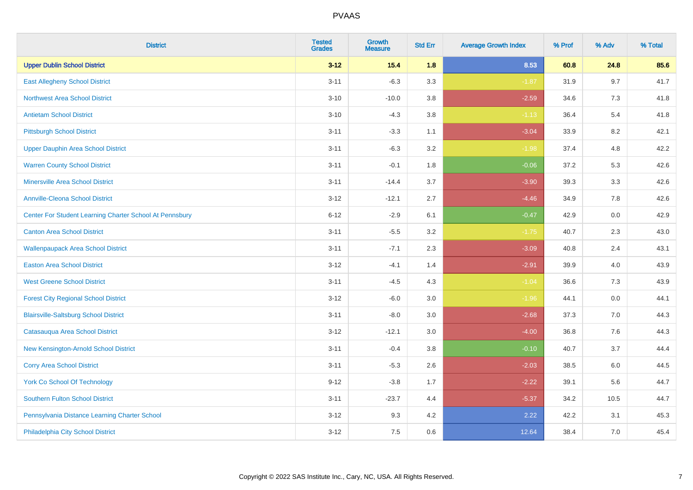| <b>District</b>                                         | <b>Tested</b><br><b>Grades</b> | Growth<br><b>Measure</b> | <b>Std Err</b> | <b>Average Growth Index</b> | % Prof | % Adv | % Total |
|---------------------------------------------------------|--------------------------------|--------------------------|----------------|-----------------------------|--------|-------|---------|
| <b>Upper Dublin School District</b>                     | $3 - 12$                       | $15.4$                   | 1.8            | 8.53                        | 60.8   | 24.8  | 85.6    |
| <b>East Allegheny School District</b>                   | $3 - 11$                       | $-6.3$                   | 3.3            | $-1.87$                     | 31.9   | 9.7   | 41.7    |
| <b>Northwest Area School District</b>                   | $3 - 10$                       | $-10.0$                  | 3.8            | $-2.59$                     | 34.6   | 7.3   | 41.8    |
| <b>Antietam School District</b>                         | $3 - 10$                       | $-4.3$                   | 3.8            | $-1.13$                     | 36.4   | 5.4   | 41.8    |
| <b>Pittsburgh School District</b>                       | $3 - 11$                       | $-3.3$                   | 1.1            | $-3.04$                     | 33.9   | 8.2   | 42.1    |
| <b>Upper Dauphin Area School District</b>               | $3 - 11$                       | $-6.3$                   | 3.2            | $-1.98$                     | 37.4   | 4.8   | 42.2    |
| <b>Warren County School District</b>                    | $3 - 11$                       | $-0.1$                   | 1.8            | $-0.06$                     | 37.2   | 5.3   | 42.6    |
| <b>Minersville Area School District</b>                 | $3 - 11$                       | $-14.4$                  | 3.7            | $-3.90$                     | 39.3   | 3.3   | 42.6    |
| <b>Annville-Cleona School District</b>                  | $3 - 12$                       | $-12.1$                  | 2.7            | $-4.46$                     | 34.9   | 7.8   | 42.6    |
| Center For Student Learning Charter School At Pennsbury | $6 - 12$                       | $-2.9$                   | 6.1            | $-0.47$                     | 42.9   | 0.0   | 42.9    |
| <b>Canton Area School District</b>                      | $3 - 11$                       | $-5.5$                   | 3.2            | $-1.75$                     | 40.7   | 2.3   | 43.0    |
| <b>Wallenpaupack Area School District</b>               | $3 - 11$                       | $-7.1$                   | 2.3            | $-3.09$                     | 40.8   | 2.4   | 43.1    |
| <b>Easton Area School District</b>                      | $3 - 12$                       | $-4.1$                   | 1.4            | $-2.91$                     | 39.9   | 4.0   | 43.9    |
| <b>West Greene School District</b>                      | $3 - 11$                       | $-4.5$                   | 4.3            | $-1.04$                     | 36.6   | 7.3   | 43.9    |
| <b>Forest City Regional School District</b>             | $3 - 12$                       | $-6.0$                   | 3.0            | $-1.96$                     | 44.1   | 0.0   | 44.1    |
| <b>Blairsville-Saltsburg School District</b>            | $3 - 11$                       | $-8.0$                   | 3.0            | $-2.68$                     | 37.3   | 7.0   | 44.3    |
| Catasauqua Area School District                         | $3 - 12$                       | $-12.1$                  | 3.0            | $-4.00$                     | 36.8   | 7.6   | 44.3    |
| New Kensington-Arnold School District                   | $3 - 11$                       | $-0.4$                   | 3.8            | $-0.10$                     | 40.7   | 3.7   | 44.4    |
| <b>Corry Area School District</b>                       | $3 - 11$                       | $-5.3$                   | 2.6            | $-2.03$                     | 38.5   | 6.0   | 44.5    |
| <b>York Co School Of Technology</b>                     | $9 - 12$                       | $-3.8$                   | 1.7            | $-2.22$                     | 39.1   | 5.6   | 44.7    |
| Southern Fulton School District                         | $3 - 11$                       | $-23.7$                  | 4.4            | $-5.37$                     | 34.2   | 10.5  | 44.7    |
| Pennsylvania Distance Learning Charter School           | $3 - 12$                       | 9.3                      | 4.2            | 2.22                        | 42.2   | 3.1   | 45.3    |
| Philadelphia City School District                       | $3 - 12$                       | 7.5                      | 0.6            | 12.64                       | 38.4   | 7.0   | 45.4    |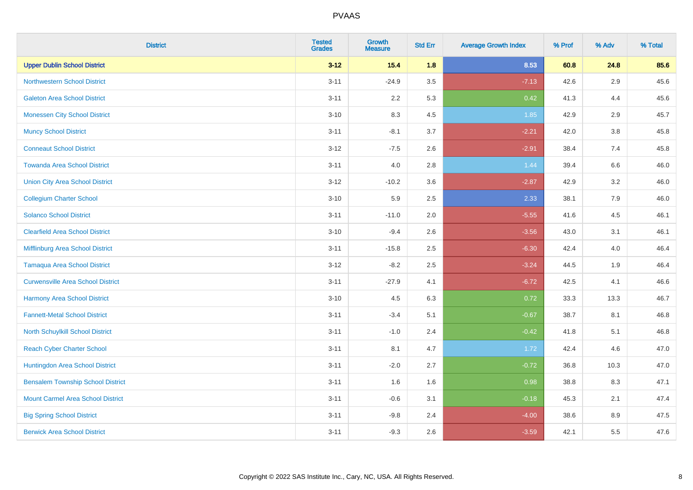| <b>District</b>                          | <b>Tested</b><br><b>Grades</b> | <b>Growth</b><br><b>Measure</b> | <b>Std Err</b> | <b>Average Growth Index</b> | % Prof | % Adv | % Total |
|------------------------------------------|--------------------------------|---------------------------------|----------------|-----------------------------|--------|-------|---------|
| <b>Upper Dublin School District</b>      | $3 - 12$                       | 15.4                            | 1.8            | 8.53                        | 60.8   | 24.8  | 85.6    |
| <b>Northwestern School District</b>      | $3 - 11$                       | $-24.9$                         | 3.5            | $-7.13$                     | 42.6   | 2.9   | 45.6    |
| <b>Galeton Area School District</b>      | $3 - 11$                       | 2.2                             | 5.3            | 0.42                        | 41.3   | 4.4   | 45.6    |
| <b>Monessen City School District</b>     | $3 - 10$                       | 8.3                             | 4.5            | 1.85                        | 42.9   | 2.9   | 45.7    |
| <b>Muncy School District</b>             | $3 - 11$                       | $-8.1$                          | 3.7            | $-2.21$                     | 42.0   | 3.8   | 45.8    |
| <b>Conneaut School District</b>          | $3-12$                         | $-7.5$                          | 2.6            | $-2.91$                     | 38.4   | 7.4   | 45.8    |
| <b>Towanda Area School District</b>      | $3 - 11$                       | 4.0                             | 2.8            | 1.44                        | 39.4   | 6.6   | 46.0    |
| <b>Union City Area School District</b>   | $3 - 12$                       | $-10.2$                         | 3.6            | $-2.87$                     | 42.9   | 3.2   | 46.0    |
| <b>Collegium Charter School</b>          | $3 - 10$                       | 5.9                             | 2.5            | 2.33                        | 38.1   | 7.9   | 46.0    |
| <b>Solanco School District</b>           | $3 - 11$                       | $-11.0$                         | 2.0            | $-5.55$                     | 41.6   | 4.5   | 46.1    |
| <b>Clearfield Area School District</b>   | $3 - 10$                       | $-9.4$                          | 2.6            | $-3.56$                     | 43.0   | 3.1   | 46.1    |
| Mifflinburg Area School District         | $3 - 11$                       | $-15.8$                         | 2.5            | $-6.30$                     | 42.4   | 4.0   | 46.4    |
| <b>Tamaqua Area School District</b>      | $3-12$                         | $-8.2$                          | 2.5            | $-3.24$                     | 44.5   | 1.9   | 46.4    |
| <b>Curwensville Area School District</b> | $3 - 11$                       | $-27.9$                         | 4.1            | $-6.72$                     | 42.5   | 4.1   | 46.6    |
| Harmony Area School District             | $3 - 10$                       | 4.5                             | 6.3            | 0.72                        | 33.3   | 13.3  | 46.7    |
| <b>Fannett-Metal School District</b>     | $3 - 11$                       | $-3.4$                          | 5.1            | $-0.67$                     | 38.7   | 8.1   | 46.8    |
| <b>North Schuylkill School District</b>  | $3 - 11$                       | $-1.0$                          | 2.4            | $-0.42$                     | 41.8   | 5.1   | 46.8    |
| <b>Reach Cyber Charter School</b>        | $3 - 11$                       | 8.1                             | 4.7            | 1.72                        | 42.4   | 4.6   | 47.0    |
| <b>Huntingdon Area School District</b>   | $3 - 11$                       | $-2.0$                          | 2.7            | $-0.72$                     | 36.8   | 10.3  | 47.0    |
| <b>Bensalem Township School District</b> | $3 - 11$                       | 1.6                             | 1.6            | 0.98                        | 38.8   | 8.3   | 47.1    |
| <b>Mount Carmel Area School District</b> | $3 - 11$                       | $-0.6$                          | 3.1            | $-0.18$                     | 45.3   | 2.1   | 47.4    |
| <b>Big Spring School District</b>        | $3 - 11$                       | $-9.8$                          | 2.4            | $-4.00$                     | 38.6   | 8.9   | 47.5    |
| <b>Berwick Area School District</b>      | $3 - 11$                       | $-9.3$                          | 2.6            | $-3.59$                     | 42.1   | 5.5   | 47.6    |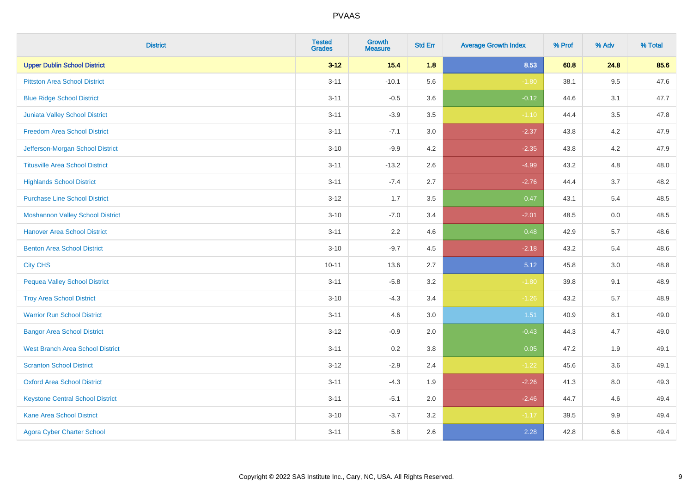| <b>District</b>                         | <b>Tested</b><br><b>Grades</b> | <b>Growth</b><br><b>Measure</b> | <b>Std Err</b> | <b>Average Growth Index</b> | % Prof | % Adv   | % Total |
|-----------------------------------------|--------------------------------|---------------------------------|----------------|-----------------------------|--------|---------|---------|
| <b>Upper Dublin School District</b>     | $3 - 12$                       | 15.4                            | 1.8            | 8.53                        | 60.8   | 24.8    | 85.6    |
| <b>Pittston Area School District</b>    | $3 - 11$                       | $-10.1$                         | 5.6            | $-1.80$                     | 38.1   | 9.5     | 47.6    |
| <b>Blue Ridge School District</b>       | $3 - 11$                       | $-0.5$                          | 3.6            | $-0.12$                     | 44.6   | 3.1     | 47.7    |
| <b>Juniata Valley School District</b>   | $3 - 11$                       | $-3.9$                          | $3.5\,$        | $-1.10$                     | 44.4   | $3.5\,$ | 47.8    |
| <b>Freedom Area School District</b>     | $3 - 11$                       | $-7.1$                          | 3.0            | $-2.37$                     | 43.8   | 4.2     | 47.9    |
| Jefferson-Morgan School District        | $3 - 10$                       | $-9.9$                          | 4.2            | $-2.35$                     | 43.8   | 4.2     | 47.9    |
| <b>Titusville Area School District</b>  | $3 - 11$                       | $-13.2$                         | 2.6            | $-4.99$                     | 43.2   | 4.8     | 48.0    |
| <b>Highlands School District</b>        | $3 - 11$                       | $-7.4$                          | 2.7            | $-2.76$                     | 44.4   | 3.7     | 48.2    |
| <b>Purchase Line School District</b>    | $3 - 12$                       | 1.7                             | 3.5            | 0.47                        | 43.1   | 5.4     | 48.5    |
| <b>Moshannon Valley School District</b> | $3 - 10$                       | $-7.0$                          | 3.4            | $-2.01$                     | 48.5   | $0.0\,$ | 48.5    |
| <b>Hanover Area School District</b>     | $3 - 11$                       | 2.2                             | 4.6            | 0.48                        | 42.9   | 5.7     | 48.6    |
| <b>Benton Area School District</b>      | $3 - 10$                       | $-9.7$                          | 4.5            | $-2.18$                     | 43.2   | 5.4     | 48.6    |
| <b>City CHS</b>                         | $10 - 11$                      | 13.6                            | 2.7            | 5.12                        | 45.8   | $3.0\,$ | 48.8    |
| <b>Pequea Valley School District</b>    | $3 - 11$                       | $-5.8$                          | 3.2            | $-1.80$                     | 39.8   | 9.1     | 48.9    |
| <b>Troy Area School District</b>        | $3 - 10$                       | $-4.3$                          | 3.4            | $-1.26$                     | 43.2   | 5.7     | 48.9    |
| <b>Warrior Run School District</b>      | $3 - 11$                       | 4.6                             | 3.0            | 1.51                        | 40.9   | 8.1     | 49.0    |
| <b>Bangor Area School District</b>      | $3-12$                         | $-0.9$                          | 2.0            | $-0.43$                     | 44.3   | 4.7     | 49.0    |
| <b>West Branch Area School District</b> | $3 - 11$                       | 0.2                             | 3.8            | 0.05                        | 47.2   | 1.9     | 49.1    |
| <b>Scranton School District</b>         | $3-12$                         | $-2.9$                          | 2.4            | $-1.22$                     | 45.6   | 3.6     | 49.1    |
| <b>Oxford Area School District</b>      | $3 - 11$                       | $-4.3$                          | 1.9            | $-2.26$                     | 41.3   | 8.0     | 49.3    |
| <b>Keystone Central School District</b> | $3 - 11$                       | $-5.1$                          | 2.0            | $-2.46$                     | 44.7   | 4.6     | 49.4    |
| <b>Kane Area School District</b>        | $3 - 10$                       | $-3.7$                          | 3.2            | $-1.17$                     | 39.5   | 9.9     | 49.4    |
| <b>Agora Cyber Charter School</b>       | $3 - 11$                       | 5.8                             | 2.6            | 2.28                        | 42.8   | 6.6     | 49.4    |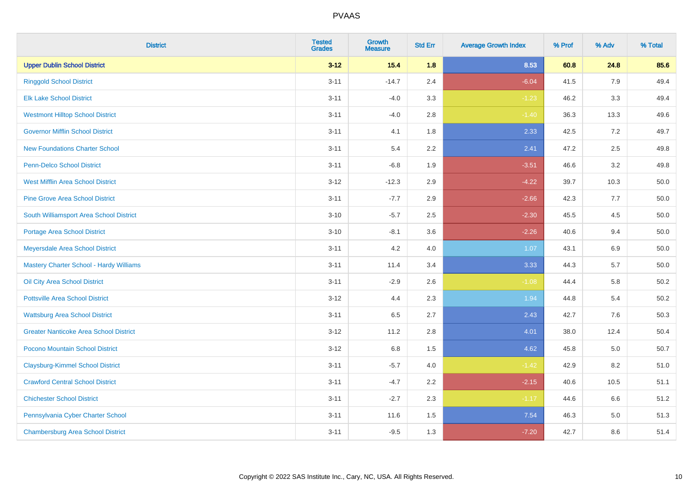| <b>District</b>                               | <b>Tested</b><br><b>Grades</b> | Growth<br><b>Measure</b> | <b>Std Err</b> | <b>Average Growth Index</b> | % Prof | % Adv   | % Total  |
|-----------------------------------------------|--------------------------------|--------------------------|----------------|-----------------------------|--------|---------|----------|
| <b>Upper Dublin School District</b>           | $3 - 12$                       | 15.4                     | 1.8            | 8.53                        | 60.8   | 24.8    | 85.6     |
| <b>Ringgold School District</b>               | $3 - 11$                       | $-14.7$                  | 2.4            | $-6.04$                     | 41.5   | 7.9     | 49.4     |
| <b>Elk Lake School District</b>               | $3 - 11$                       | $-4.0$                   | 3.3            | $-1.23$                     | 46.2   | 3.3     | 49.4     |
| <b>Westmont Hilltop School District</b>       | $3 - 11$                       | $-4.0$                   | $2.8\,$        | $-1.40$                     | 36.3   | 13.3    | 49.6     |
| <b>Governor Mifflin School District</b>       | $3 - 11$                       | 4.1                      | 1.8            | 2.33                        | 42.5   | 7.2     | 49.7     |
| <b>New Foundations Charter School</b>         | $3 - 11$                       | 5.4                      | 2.2            | 2.41                        | 47.2   | 2.5     | 49.8     |
| Penn-Delco School District                    | $3 - 11$                       | $-6.8$                   | 1.9            | $-3.51$                     | 46.6   | 3.2     | 49.8     |
| <b>West Mifflin Area School District</b>      | $3 - 12$                       | $-12.3$                  | 2.9            | $-4.22$                     | 39.7   | 10.3    | 50.0     |
| <b>Pine Grove Area School District</b>        | $3 - 11$                       | $-7.7$                   | 2.9            | $-2.66$                     | 42.3   | 7.7     | 50.0     |
| South Williamsport Area School District       | $3 - 10$                       | $-5.7$                   | 2.5            | $-2.30$                     | 45.5   | 4.5     | 50.0     |
| <b>Portage Area School District</b>           | $3 - 10$                       | $-8.1$                   | 3.6            | $-2.26$                     | 40.6   | 9.4     | 50.0     |
| Meyersdale Area School District               | $3 - 11$                       | 4.2                      | 4.0            | 1.07                        | 43.1   | 6.9     | 50.0     |
| Mastery Charter School - Hardy Williams       | $3 - 11$                       | 11.4                     | 3.4            | 3.33                        | 44.3   | 5.7     | $50.0\,$ |
| Oil City Area School District                 | $3 - 11$                       | $-2.9$                   | 2.6            | $-1.08$                     | 44.4   | 5.8     | 50.2     |
| <b>Pottsville Area School District</b>        | $3 - 12$                       | 4.4                      | 2.3            | 1.94                        | 44.8   | 5.4     | 50.2     |
| <b>Wattsburg Area School District</b>         | $3 - 11$                       | 6.5                      | 2.7            | 2.43                        | 42.7   | 7.6     | 50.3     |
| <b>Greater Nanticoke Area School District</b> | $3 - 12$                       | 11.2                     | 2.8            | 4.01                        | 38.0   | 12.4    | 50.4     |
| Pocono Mountain School District               | $3 - 12$                       | 6.8                      | 1.5            | 4.62                        | 45.8   | 5.0     | 50.7     |
| <b>Claysburg-Kimmel School District</b>       | $3 - 11$                       | $-5.7$                   | 4.0            | $-1.42$                     | 42.9   | 8.2     | 51.0     |
| <b>Crawford Central School District</b>       | $3 - 11$                       | $-4.7$                   | 2.2            | $-2.15$                     | 40.6   | 10.5    | 51.1     |
| <b>Chichester School District</b>             | $3 - 11$                       | $-2.7$                   | 2.3            | $-1.17$                     | 44.6   | 6.6     | 51.2     |
| Pennsylvania Cyber Charter School             | $3 - 11$                       | 11.6                     | 1.5            | 7.54                        | 46.3   | $5.0\,$ | 51.3     |
| <b>Chambersburg Area School District</b>      | $3 - 11$                       | $-9.5$                   | 1.3            | $-7.20$                     | 42.7   | 8.6     | 51.4     |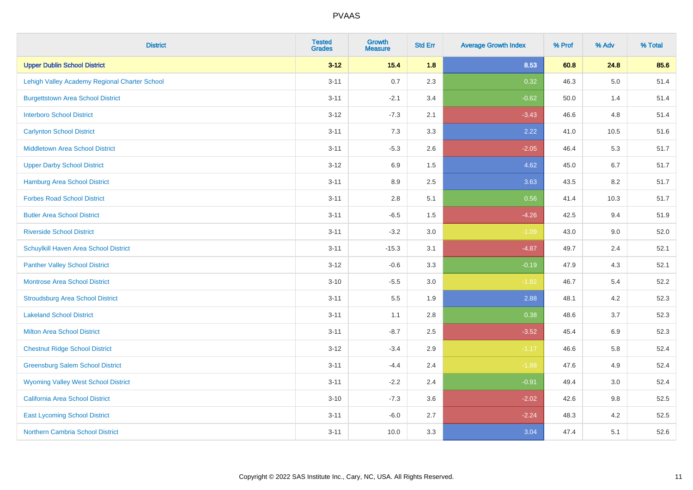| <b>District</b>                               | <b>Tested</b><br><b>Grades</b> | Growth<br><b>Measure</b> | <b>Std Err</b> | <b>Average Growth Index</b> | % Prof | % Adv   | % Total |
|-----------------------------------------------|--------------------------------|--------------------------|----------------|-----------------------------|--------|---------|---------|
| <b>Upper Dublin School District</b>           | $3 - 12$                       | $15.4$                   | 1.8            | 8.53                        | 60.8   | 24.8    | 85.6    |
| Lehigh Valley Academy Regional Charter School | $3 - 11$                       | 0.7                      | 2.3            | 0.32                        | 46.3   | $5.0\,$ | 51.4    |
| <b>Burgettstown Area School District</b>      | $3 - 11$                       | $-2.1$                   | 3.4            | $-0.62$                     | 50.0   | 1.4     | 51.4    |
| <b>Interboro School District</b>              | $3 - 12$                       | $-7.3$                   | 2.1            | $-3.43$                     | 46.6   | 4.8     | 51.4    |
| <b>Carlynton School District</b>              | $3 - 11$                       | 7.3                      | 3.3            | 2.22                        | 41.0   | 10.5    | 51.6    |
| <b>Middletown Area School District</b>        | $3 - 11$                       | $-5.3$                   | 2.6            | $-2.05$                     | 46.4   | 5.3     | 51.7    |
| <b>Upper Darby School District</b>            | $3 - 12$                       | 6.9                      | 1.5            | 4.62                        | 45.0   | 6.7     | 51.7    |
| <b>Hamburg Area School District</b>           | $3 - 11$                       | 8.9                      | 2.5            | 3.63                        | 43.5   | 8.2     | 51.7    |
| <b>Forbes Road School District</b>            | $3 - 11$                       | 2.8                      | 5.1            | 0.56                        | 41.4   | 10.3    | 51.7    |
| <b>Butler Area School District</b>            | $3 - 11$                       | $-6.5$                   | 1.5            | $-4.26$                     | 42.5   | 9.4     | 51.9    |
| <b>Riverside School District</b>              | $3 - 11$                       | $-3.2$                   | 3.0            | $-1.09$                     | 43.0   | 9.0     | 52.0    |
| <b>Schuylkill Haven Area School District</b>  | $3 - 11$                       | $-15.3$                  | 3.1            | $-4.87$                     | 49.7   | 2.4     | 52.1    |
| <b>Panther Valley School District</b>         | $3 - 12$                       | $-0.6$                   | 3.3            | $-0.19$                     | 47.9   | 4.3     | 52.1    |
| Montrose Area School District                 | $3 - 10$                       | $-5.5$                   | 3.0            | $-1.82$                     | 46.7   | 5.4     | 52.2    |
| <b>Stroudsburg Area School District</b>       | $3 - 11$                       | $5.5\,$                  | 1.9            | 2.88                        | 48.1   | 4.2     | 52.3    |
| <b>Lakeland School District</b>               | $3 - 11$                       | 1.1                      | 2.8            | 0.38                        | 48.6   | 3.7     | 52.3    |
| <b>Milton Area School District</b>            | $3 - 11$                       | $-8.7$                   | 2.5            | $-3.52$                     | 45.4   | 6.9     | 52.3    |
| <b>Chestnut Ridge School District</b>         | $3 - 12$                       | $-3.4$                   | 2.9            | $-1.17$                     | 46.6   | 5.8     | 52.4    |
| <b>Greensburg Salem School District</b>       | $3 - 11$                       | $-4.4$                   | 2.4            | $-1.88$                     | 47.6   | 4.9     | 52.4    |
| <b>Wyoming Valley West School District</b>    | $3 - 11$                       | $-2.2$                   | 2.4            | $-0.91$                     | 49.4   | 3.0     | 52.4    |
| California Area School District               | $3 - 10$                       | $-7.3$                   | 3.6            | $-2.02$                     | 42.6   | 9.8     | 52.5    |
| <b>East Lycoming School District</b>          | $3 - 11$                       | $-6.0$                   | 2.7            | $-2.24$                     | 48.3   | 4.2     | 52.5    |
| <b>Northern Cambria School District</b>       | $3 - 11$                       | 10.0                     | 3.3            | 3.04                        | 47.4   | 5.1     | 52.6    |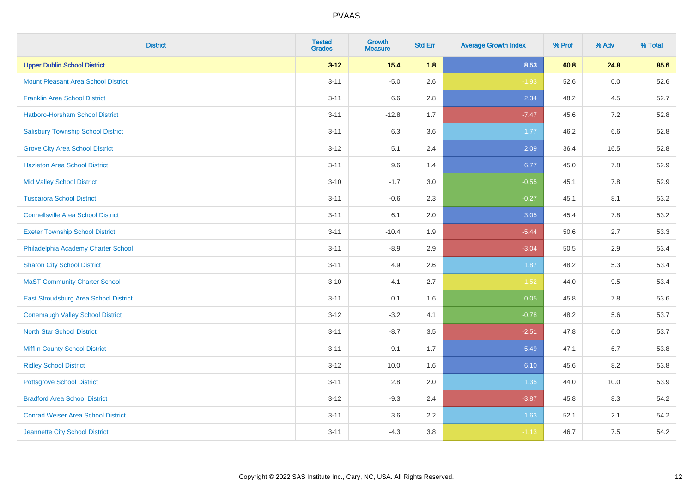| <b>District</b>                            | <b>Tested</b><br><b>Grades</b> | <b>Growth</b><br><b>Measure</b> | <b>Std Err</b> | <b>Average Growth Index</b> | % Prof | % Adv | % Total |
|--------------------------------------------|--------------------------------|---------------------------------|----------------|-----------------------------|--------|-------|---------|
| <b>Upper Dublin School District</b>        | $3 - 12$                       | 15.4                            | 1.8            | 8.53                        | 60.8   | 24.8  | 85.6    |
| <b>Mount Pleasant Area School District</b> | $3 - 11$                       | $-5.0$                          | 2.6            | $-1.93$                     | 52.6   | 0.0   | 52.6    |
| <b>Franklin Area School District</b>       | $3 - 11$                       | 6.6                             | 2.8            | 2.34                        | 48.2   | 4.5   | 52.7    |
| Hatboro-Horsham School District            | $3 - 11$                       | $-12.8$                         | 1.7            | $-7.47$                     | 45.6   | 7.2   | 52.8    |
| <b>Salisbury Township School District</b>  | $3 - 11$                       | 6.3                             | 3.6            | 1.77                        | 46.2   | 6.6   | 52.8    |
| <b>Grove City Area School District</b>     | $3 - 12$                       | 5.1                             | 2.4            | 2.09                        | 36.4   | 16.5  | 52.8    |
| <b>Hazleton Area School District</b>       | $3 - 11$                       | 9.6                             | 1.4            | 6.77                        | 45.0   | 7.8   | 52.9    |
| <b>Mid Valley School District</b>          | $3 - 10$                       | $-1.7$                          | 3.0            | $-0.55$                     | 45.1   | 7.8   | 52.9    |
| <b>Tuscarora School District</b>           | $3 - 11$                       | $-0.6$                          | 2.3            | $-0.27$                     | 45.1   | 8.1   | 53.2    |
| <b>Connellsville Area School District</b>  | $3 - 11$                       | 6.1                             | 2.0            | 3.05                        | 45.4   | 7.8   | 53.2    |
| <b>Exeter Township School District</b>     | $3 - 11$                       | $-10.4$                         | 1.9            | $-5.44$                     | 50.6   | 2.7   | 53.3    |
| Philadelphia Academy Charter School        | $3 - 11$                       | $-8.9$                          | 2.9            | $-3.04$                     | 50.5   | 2.9   | 53.4    |
| <b>Sharon City School District</b>         | $3 - 11$                       | 4.9                             | 2.6            | 1.87                        | 48.2   | 5.3   | 53.4    |
| <b>MaST Community Charter School</b>       | $3 - 10$                       | $-4.1$                          | 2.7            | $-1.52$                     | 44.0   | 9.5   | 53.4    |
| East Stroudsburg Area School District      | $3 - 11$                       | 0.1                             | 1.6            | 0.05                        | 45.8   | 7.8   | 53.6    |
| <b>Conemaugh Valley School District</b>    | $3 - 12$                       | $-3.2$                          | 4.1            | $-0.78$                     | 48.2   | 5.6   | 53.7    |
| <b>North Star School District</b>          | $3 - 11$                       | $-8.7$                          | 3.5            | $-2.51$                     | 47.8   | 6.0   | 53.7    |
| <b>Mifflin County School District</b>      | $3 - 11$                       | 9.1                             | 1.7            | 5.49                        | 47.1   | 6.7   | 53.8    |
| <b>Ridley School District</b>              | $3 - 12$                       | 10.0                            | 1.6            | 6.10                        | 45.6   | 8.2   | 53.8    |
| <b>Pottsgrove School District</b>          | $3 - 11$                       | 2.8                             | 2.0            | 1.35                        | 44.0   | 10.0  | 53.9    |
| <b>Bradford Area School District</b>       | $3 - 12$                       | $-9.3$                          | 2.4            | $-3.87$                     | 45.8   | 8.3   | 54.2    |
| <b>Conrad Weiser Area School District</b>  | $3 - 11$                       | 3.6                             | 2.2            | 1.63                        | 52.1   | 2.1   | 54.2    |
| Jeannette City School District             | $3 - 11$                       | $-4.3$                          | 3.8            | $-1.13$                     | 46.7   | 7.5   | 54.2    |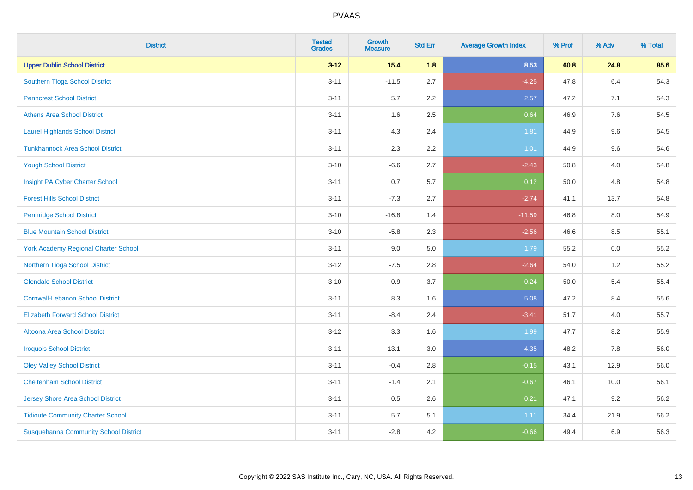| <b>District</b>                              | <b>Tested</b><br><b>Grades</b> | <b>Growth</b><br><b>Measure</b> | <b>Std Err</b> | <b>Average Growth Index</b> | % Prof | % Adv   | % Total |
|----------------------------------------------|--------------------------------|---------------------------------|----------------|-----------------------------|--------|---------|---------|
| <b>Upper Dublin School District</b>          | $3 - 12$                       | 15.4                            | 1.8            | 8.53                        | 60.8   | 24.8    | 85.6    |
| Southern Tioga School District               | $3 - 11$                       | $-11.5$                         | 2.7            | $-4.25$                     | 47.8   | $6.4\,$ | 54.3    |
| <b>Penncrest School District</b>             | $3 - 11$                       | 5.7                             | 2.2            | 2.57                        | 47.2   | 7.1     | 54.3    |
| <b>Athens Area School District</b>           | $3 - 11$                       | 1.6                             | 2.5            | 0.64                        | 46.9   | 7.6     | 54.5    |
| <b>Laurel Highlands School District</b>      | $3 - 11$                       | 4.3                             | 2.4            | 1.81                        | 44.9   | 9.6     | 54.5    |
| <b>Tunkhannock Area School District</b>      | $3 - 11$                       | 2.3                             | 2.2            | 1.01                        | 44.9   | 9.6     | 54.6    |
| <b>Yough School District</b>                 | $3 - 10$                       | $-6.6$                          | 2.7            | $-2.43$                     | 50.8   | 4.0     | 54.8    |
| Insight PA Cyber Charter School              | $3 - 11$                       | 0.7                             | 5.7            | 0.12                        | 50.0   | 4.8     | 54.8    |
| <b>Forest Hills School District</b>          | $3 - 11$                       | $-7.3$                          | 2.7            | $-2.74$                     | 41.1   | 13.7    | 54.8    |
| <b>Pennridge School District</b>             | $3 - 10$                       | $-16.8$                         | 1.4            | $-11.59$                    | 46.8   | 8.0     | 54.9    |
| <b>Blue Mountain School District</b>         | $3 - 10$                       | $-5.8$                          | 2.3            | $-2.56$                     | 46.6   | 8.5     | 55.1    |
| <b>York Academy Regional Charter School</b>  | $3 - 11$                       | 9.0                             | 5.0            | 1.79                        | 55.2   | 0.0     | 55.2    |
| Northern Tioga School District               | $3 - 12$                       | $-7.5$                          | 2.8            | $-2.64$                     | 54.0   | $1.2\,$ | 55.2    |
| <b>Glendale School District</b>              | $3 - 10$                       | $-0.9$                          | 3.7            | $-0.24$                     | 50.0   | 5.4     | 55.4    |
| <b>Cornwall-Lebanon School District</b>      | $3 - 11$                       | 8.3                             | 1.6            | 5.08                        | 47.2   | 8.4     | 55.6    |
| <b>Elizabeth Forward School District</b>     | $3 - 11$                       | $-8.4$                          | 2.4            | $-3.41$                     | 51.7   | 4.0     | 55.7    |
| <b>Altoona Area School District</b>          | $3 - 12$                       | 3.3                             | 1.6            | 1.99                        | 47.7   | 8.2     | 55.9    |
| <b>Iroquois School District</b>              | $3 - 11$                       | 13.1                            | 3.0            | 4.35                        | 48.2   | 7.8     | 56.0    |
| <b>Oley Valley School District</b>           | $3 - 11$                       | $-0.4$                          | 2.8            | $-0.15$                     | 43.1   | 12.9    | 56.0    |
| <b>Cheltenham School District</b>            | $3 - 11$                       | $-1.4$                          | 2.1            | $-0.67$                     | 46.1   | 10.0    | 56.1    |
| Jersey Shore Area School District            | $3 - 11$                       | 0.5                             | 2.6            | 0.21                        | 47.1   | 9.2     | 56.2    |
| <b>Tidioute Community Charter School</b>     | $3 - 11$                       | 5.7                             | 5.1            | 1.11                        | 34.4   | 21.9    | 56.2    |
| <b>Susquehanna Community School District</b> | $3 - 11$                       | $-2.8$                          | 4.2            | $-0.66$                     | 49.4   | 6.9     | 56.3    |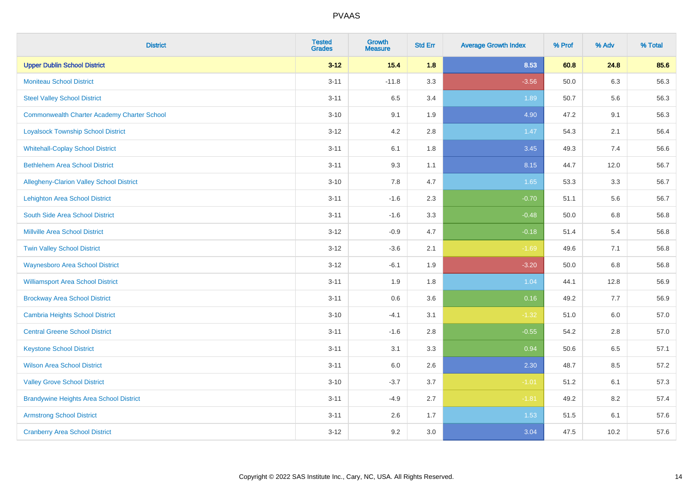| <b>District</b>                                    | <b>Tested</b><br><b>Grades</b> | <b>Growth</b><br><b>Measure</b> | <b>Std Err</b> | <b>Average Growth Index</b> | % Prof | % Adv   | % Total |
|----------------------------------------------------|--------------------------------|---------------------------------|----------------|-----------------------------|--------|---------|---------|
| <b>Upper Dublin School District</b>                | $3 - 12$                       | 15.4                            | 1.8            | 8.53                        | 60.8   | 24.8    | 85.6    |
| <b>Moniteau School District</b>                    | $3 - 11$                       | $-11.8$                         | 3.3            | $-3.56$                     | 50.0   | 6.3     | 56.3    |
| <b>Steel Valley School District</b>                | $3 - 11$                       | 6.5                             | 3.4            | 1.89                        | 50.7   | 5.6     | 56.3    |
| <b>Commonwealth Charter Academy Charter School</b> | $3 - 10$                       | 9.1                             | 1.9            | 4.90                        | 47.2   | 9.1     | 56.3    |
| <b>Loyalsock Township School District</b>          | $3-12$                         | 4.2                             | 2.8            | 1.47                        | 54.3   | 2.1     | 56.4    |
| <b>Whitehall-Coplay School District</b>            | $3 - 11$                       | 6.1                             | 1.8            | 3.45                        | 49.3   | 7.4     | 56.6    |
| <b>Bethlehem Area School District</b>              | $3 - 11$                       | 9.3                             | 1.1            | 8.15                        | 44.7   | 12.0    | 56.7    |
| <b>Allegheny-Clarion Valley School District</b>    | $3 - 10$                       | 7.8                             | 4.7            | 1.65                        | 53.3   | 3.3     | 56.7    |
| <b>Lehighton Area School District</b>              | $3 - 11$                       | $-1.6$                          | 2.3            | $-0.70$                     | 51.1   | 5.6     | 56.7    |
| South Side Area School District                    | $3 - 11$                       | $-1.6$                          | 3.3            | $-0.48$                     | 50.0   | 6.8     | 56.8    |
| <b>Millville Area School District</b>              | $3 - 12$                       | $-0.9$                          | 4.7            | $-0.18$                     | 51.4   | 5.4     | 56.8    |
| <b>Twin Valley School District</b>                 | $3 - 12$                       | $-3.6$                          | 2.1            | $-1.69$                     | 49.6   | 7.1     | 56.8    |
| <b>Waynesboro Area School District</b>             | $3 - 12$                       | $-6.1$                          | 1.9            | $-3.20$                     | 50.0   | 6.8     | 56.8    |
| <b>Williamsport Area School District</b>           | $3 - 11$                       | 1.9                             | 1.8            | 1.04                        | 44.1   | 12.8    | 56.9    |
| <b>Brockway Area School District</b>               | $3 - 11$                       | 0.6                             | 3.6            | 0.16                        | 49.2   | $7.7$   | 56.9    |
| <b>Cambria Heights School District</b>             | $3 - 10$                       | $-4.1$                          | 3.1            | $-1.32$                     | 51.0   | $6.0\,$ | 57.0    |
| <b>Central Greene School District</b>              | $3 - 11$                       | $-1.6$                          | 2.8            | $-0.55$                     | 54.2   | 2.8     | 57.0    |
| <b>Keystone School District</b>                    | $3 - 11$                       | 3.1                             | 3.3            | 0.94                        | 50.6   | 6.5     | 57.1    |
| <b>Wilson Area School District</b>                 | $3 - 11$                       | 6.0                             | 2.6            | 2.30                        | 48.7   | 8.5     | 57.2    |
| <b>Valley Grove School District</b>                | $3 - 10$                       | $-3.7$                          | 3.7            | $-1.01$                     | 51.2   | 6.1     | 57.3    |
| <b>Brandywine Heights Area School District</b>     | $3 - 11$                       | $-4.9$                          | 2.7            | $-1.81$                     | 49.2   | 8.2     | 57.4    |
| <b>Armstrong School District</b>                   | $3 - 11$                       | 2.6                             | 1.7            | 1.53                        | 51.5   | 6.1     | 57.6    |
| <b>Cranberry Area School District</b>              | $3 - 12$                       | 9.2                             | 3.0            | 3.04                        | 47.5   | 10.2    | 57.6    |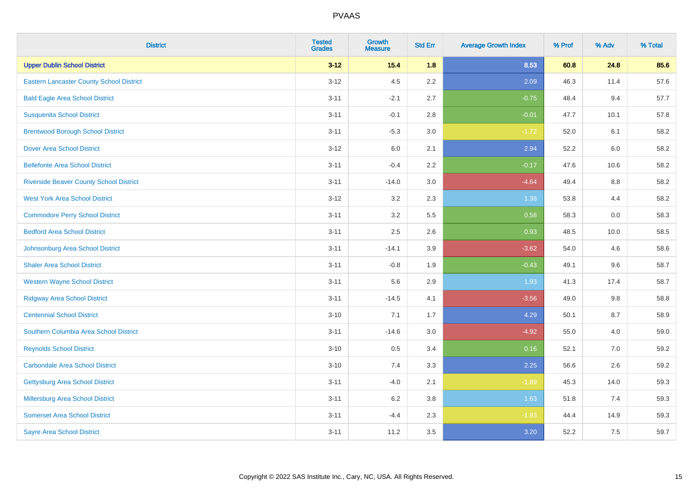| <b>District</b>                                 | <b>Tested</b><br><b>Grades</b> | <b>Growth</b><br><b>Measure</b> | <b>Std Err</b> | <b>Average Growth Index</b> | % Prof | % Adv | % Total |
|-------------------------------------------------|--------------------------------|---------------------------------|----------------|-----------------------------|--------|-------|---------|
| <b>Upper Dublin School District</b>             | $3 - 12$                       | $15.4$                          | 1.8            | 8.53                        | 60.8   | 24.8  | 85.6    |
| <b>Eastern Lancaster County School District</b> | $3 - 12$                       | 4.5                             | 2.2            | 2.09                        | 46.3   | 11.4  | 57.6    |
| <b>Bald Eagle Area School District</b>          | $3 - 11$                       | $-2.1$                          | 2.7            | $-0.75$                     | 48.4   | 9.4   | 57.7    |
| <b>Susquenita School District</b>               | $3 - 11$                       | $-0.1$                          | 2.8            | $-0.01$                     | 47.7   | 10.1  | 57.8    |
| <b>Brentwood Borough School District</b>        | $3 - 11$                       | $-5.3$                          | 3.0            | $-1.72$                     | 52.0   | 6.1   | 58.2    |
| <b>Dover Area School District</b>               | $3 - 12$                       | 6.0                             | 2.1            | 2.94                        | 52.2   | 6.0   | 58.2    |
| <b>Bellefonte Area School District</b>          | $3 - 11$                       | $-0.4$                          | 2.2            | $-0.17$                     | 47.6   | 10.6  | 58.2    |
| <b>Riverside Beaver County School District</b>  | $3 - 11$                       | $-14.0$                         | 3.0            | $-4.64$                     | 49.4   | 8.8   | 58.2    |
| <b>West York Area School District</b>           | $3 - 12$                       | 3.2                             | 2.3            | 1.38                        | 53.8   | 4.4   | 58.2    |
| <b>Commodore Perry School District</b>          | $3 - 11$                       | 3.2                             | 5.5            | 0.58                        | 58.3   | 0.0   | 58.3    |
| <b>Bedford Area School District</b>             | $3 - 11$                       | 2.5                             | 2.6            | 0.93                        | 48.5   | 10.0  | 58.5    |
| Johnsonburg Area School District                | $3 - 11$                       | $-14.1$                         | 3.9            | $-3.62$                     | 54.0   | 4.6   | 58.6    |
| <b>Shaler Area School District</b>              | $3 - 11$                       | $-0.8$                          | 1.9            | $-0.43$                     | 49.1   | 9.6   | 58.7    |
| <b>Western Wayne School District</b>            | $3 - 11$                       | 5.6                             | 2.9            | 1.93                        | 41.3   | 17.4  | 58.7    |
| <b>Ridgway Area School District</b>             | $3 - 11$                       | $-14.5$                         | 4.1            | $-3.56$                     | 49.0   | 9.8   | 58.8    |
| <b>Centennial School District</b>               | $3 - 10$                       | 7.1                             | 1.7            | 4.29                        | 50.1   | 8.7   | 58.9    |
| Southern Columbia Area School District          | $3 - 11$                       | $-14.6$                         | 3.0            | $-4.92$                     | 55.0   | 4.0   | 59.0    |
| <b>Reynolds School District</b>                 | $3 - 10$                       | 0.5                             | 3.4            | 0.16                        | 52.1   | 7.0   | 59.2    |
| <b>Carbondale Area School District</b>          | $3 - 10$                       | 7.4                             | 3.3            | 2.25                        | 56.6   | 2.6   | 59.2    |
| <b>Gettysburg Area School District</b>          | $3 - 11$                       | $-4.0$                          | 2.1            | $-1.89$                     | 45.3   | 14.0  | 59.3    |
| <b>Millersburg Area School District</b>         | $3 - 11$                       | 6.2                             | 3.8            | 1.63                        | 51.8   | 7.4   | 59.3    |
| <b>Somerset Area School District</b>            | $3 - 11$                       | $-4.4$                          | 2.3            | $-1.93$                     | 44.4   | 14.9  | 59.3    |
| <b>Sayre Area School District</b>               | $3 - 11$                       | 11.2                            | 3.5            | 3.20                        | 52.2   | 7.5   | 59.7    |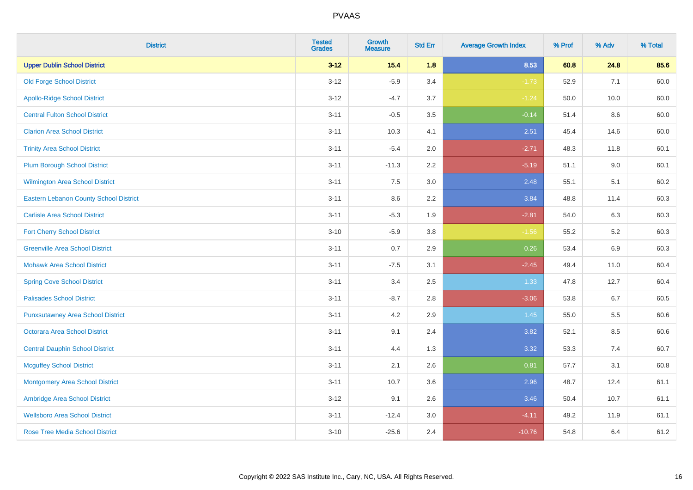| <b>District</b>                               | <b>Tested</b><br><b>Grades</b> | <b>Growth</b><br><b>Measure</b> | <b>Std Err</b> | <b>Average Growth Index</b> | % Prof | % Adv | % Total |
|-----------------------------------------------|--------------------------------|---------------------------------|----------------|-----------------------------|--------|-------|---------|
| <b>Upper Dublin School District</b>           | $3 - 12$                       | 15.4                            | 1.8            | 8.53                        | 60.8   | 24.8  | 85.6    |
| <b>Old Forge School District</b>              | $3 - 12$                       | $-5.9$                          | 3.4            | $-1.73$                     | 52.9   | 7.1   | 60.0    |
| <b>Apollo-Ridge School District</b>           | $3 - 12$                       | $-4.7$                          | 3.7            | $-1.24$                     | 50.0   | 10.0  | 60.0    |
| <b>Central Fulton School District</b>         | $3 - 11$                       | $-0.5$                          | 3.5            | $-0.14$                     | 51.4   | 8.6   | 60.0    |
| <b>Clarion Area School District</b>           | $3 - 11$                       | 10.3                            | 4.1            | 2.51                        | 45.4   | 14.6  | 60.0    |
| <b>Trinity Area School District</b>           | $3 - 11$                       | $-5.4$                          | 2.0            | $-2.71$                     | 48.3   | 11.8  | 60.1    |
| <b>Plum Borough School District</b>           | $3 - 11$                       | $-11.3$                         | 2.2            | $-5.19$                     | 51.1   | 9.0   | 60.1    |
| <b>Wilmington Area School District</b>        | $3 - 11$                       | 7.5                             | 3.0            | 2.48                        | 55.1   | 5.1   | 60.2    |
| <b>Eastern Lebanon County School District</b> | $3 - 11$                       | 8.6                             | 2.2            | 3.84                        | 48.8   | 11.4  | 60.3    |
| <b>Carlisle Area School District</b>          | $3 - 11$                       | $-5.3$                          | 1.9            | $-2.81$                     | 54.0   | 6.3   | 60.3    |
| <b>Fort Cherry School District</b>            | $3 - 10$                       | $-5.9$                          | 3.8            | $-1.56$                     | 55.2   | 5.2   | 60.3    |
| <b>Greenville Area School District</b>        | $3 - 11$                       | 0.7                             | 2.9            | 0.26                        | 53.4   | 6.9   | 60.3    |
| <b>Mohawk Area School District</b>            | $3 - 11$                       | $-7.5$                          | 3.1            | $-2.45$                     | 49.4   | 11.0  | 60.4    |
| <b>Spring Cove School District</b>            | $3 - 11$                       | 3.4                             | 2.5            | 1.33                        | 47.8   | 12.7  | 60.4    |
| <b>Palisades School District</b>              | $3 - 11$                       | $-8.7$                          | 2.8            | $-3.06$                     | 53.8   | 6.7   | 60.5    |
| <b>Punxsutawney Area School District</b>      | $3 - 11$                       | 4.2                             | 2.9            | 1.45                        | 55.0   | 5.5   | 60.6    |
| <b>Octorara Area School District</b>          | $3 - 11$                       | 9.1                             | 2.4            | 3.82                        | 52.1   | 8.5   | 60.6    |
| <b>Central Dauphin School District</b>        | $3 - 11$                       | 4.4                             | 1.3            | 3.32                        | 53.3   | 7.4   | 60.7    |
| <b>Mcguffey School District</b>               | $3 - 11$                       | 2.1                             | 2.6            | 0.81                        | 57.7   | 3.1   | 60.8    |
| <b>Montgomery Area School District</b>        | $3 - 11$                       | 10.7                            | 3.6            | 2.96                        | 48.7   | 12.4  | 61.1    |
| Ambridge Area School District                 | $3 - 12$                       | 9.1                             | 2.6            | 3.46                        | 50.4   | 10.7  | 61.1    |
| <b>Wellsboro Area School District</b>         | $3 - 11$                       | $-12.4$                         | 3.0            | $-4.11$                     | 49.2   | 11.9  | 61.1    |
| <b>Rose Tree Media School District</b>        | $3 - 10$                       | $-25.6$                         | 2.4            | $-10.76$                    | 54.8   | 6.4   | 61.2    |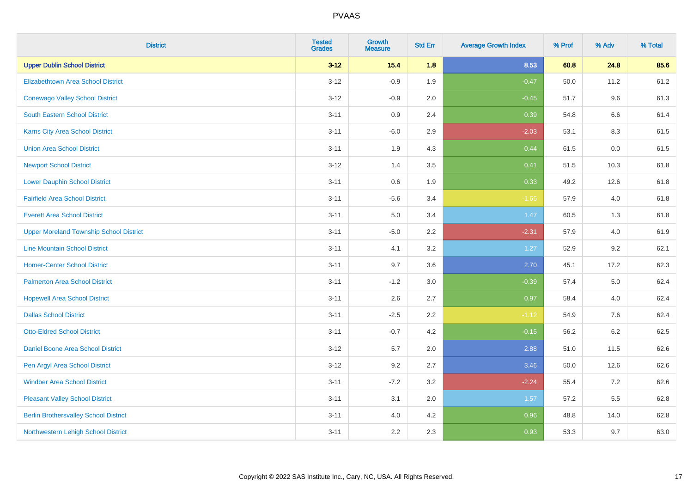| <b>District</b>                                | <b>Tested</b><br><b>Grades</b> | Growth<br><b>Measure</b> | <b>Std Err</b> | <b>Average Growth Index</b> | % Prof | % Adv   | % Total |
|------------------------------------------------|--------------------------------|--------------------------|----------------|-----------------------------|--------|---------|---------|
| <b>Upper Dublin School District</b>            | $3 - 12$                       | $15.4$                   | 1.8            | 8.53                        | 60.8   | 24.8    | 85.6    |
| Elizabethtown Area School District             | $3 - 12$                       | $-0.9$                   | 1.9            | $-0.47$                     | 50.0   | 11.2    | 61.2    |
| <b>Conewago Valley School District</b>         | $3 - 12$                       | $-0.9$                   | 2.0            | $-0.45$                     | 51.7   | 9.6     | 61.3    |
| <b>South Eastern School District</b>           | $3 - 11$                       | 0.9                      | 2.4            | 0.39                        | 54.8   | 6.6     | 61.4    |
| Karns City Area School District                | $3 - 11$                       | $-6.0$                   | 2.9            | $-2.03$                     | 53.1   | 8.3     | 61.5    |
| <b>Union Area School District</b>              | $3 - 11$                       | 1.9                      | 4.3            | 0.44                        | 61.5   | 0.0     | 61.5    |
| <b>Newport School District</b>                 | $3 - 12$                       | 1.4                      | 3.5            | 0.41                        | 51.5   | 10.3    | 61.8    |
| <b>Lower Dauphin School District</b>           | $3 - 11$                       | 0.6                      | 1.9            | 0.33                        | 49.2   | 12.6    | 61.8    |
| <b>Fairfield Area School District</b>          | $3 - 11$                       | $-5.6$                   | 3.4            | $-1.66$                     | 57.9   | 4.0     | 61.8    |
| <b>Everett Area School District</b>            | $3 - 11$                       | 5.0                      | 3.4            | 1.47                        | 60.5   | 1.3     | 61.8    |
| <b>Upper Moreland Township School District</b> | $3 - 11$                       | $-5.0$                   | 2.2            | $-2.31$                     | 57.9   | 4.0     | 61.9    |
| <b>Line Mountain School District</b>           | $3 - 11$                       | 4.1                      | 3.2            | 1.27                        | 52.9   | 9.2     | 62.1    |
| <b>Homer-Center School District</b>            | $3 - 11$                       | 9.7                      | 3.6            | 2.70                        | 45.1   | 17.2    | 62.3    |
| <b>Palmerton Area School District</b>          | $3 - 11$                       | $-1.2$                   | 3.0            | $-0.39$                     | 57.4   | $5.0\,$ | 62.4    |
| <b>Hopewell Area School District</b>           | $3 - 11$                       | 2.6                      | 2.7            | 0.97                        | 58.4   | 4.0     | 62.4    |
| <b>Dallas School District</b>                  | $3 - 11$                       | $-2.5$                   | 2.2            | $-1.12$                     | 54.9   | 7.6     | 62.4    |
| <b>Otto-Eldred School District</b>             | $3 - 11$                       | $-0.7$                   | 4.2            | $-0.15$                     | 56.2   | 6.2     | 62.5    |
| Daniel Boone Area School District              | $3 - 12$                       | 5.7                      | 2.0            | 2.88                        | 51.0   | 11.5    | 62.6    |
| Pen Argyl Area School District                 | $3 - 12$                       | 9.2                      | 2.7            | 3.46                        | 50.0   | 12.6    | 62.6    |
| <b>Windber Area School District</b>            | $3 - 11$                       | $-7.2$                   | 3.2            | $-2.24$                     | 55.4   | 7.2     | 62.6    |
| <b>Pleasant Valley School District</b>         | $3 - 11$                       | 3.1                      | 2.0            | 1.57                        | 57.2   | 5.5     | 62.8    |
| <b>Berlin Brothersvalley School District</b>   | $3 - 11$                       | 4.0                      | 4.2            | 0.96                        | 48.8   | 14.0    | 62.8    |
| Northwestern Lehigh School District            | $3 - 11$                       | 2.2                      | 2.3            | 0.93                        | 53.3   | 9.7     | 63.0    |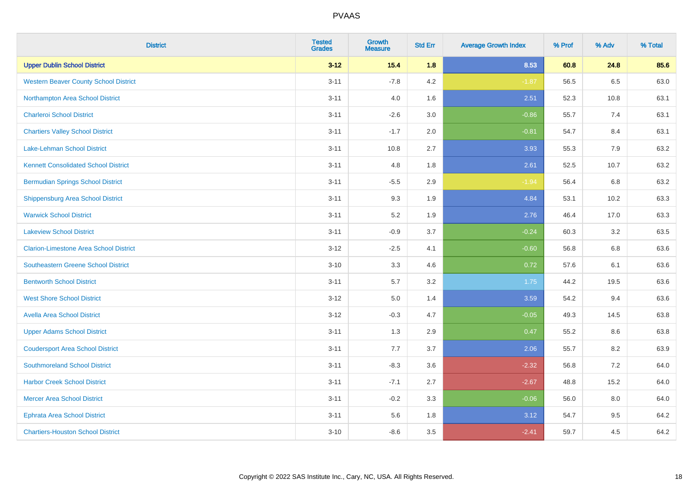| <b>District</b>                               | <b>Tested</b><br><b>Grades</b> | Growth<br><b>Measure</b> | <b>Std Err</b> | <b>Average Growth Index</b> | % Prof | % Adv | % Total |
|-----------------------------------------------|--------------------------------|--------------------------|----------------|-----------------------------|--------|-------|---------|
| <b>Upper Dublin School District</b>           | $3 - 12$                       | $15.4$                   | 1.8            | 8.53                        | 60.8   | 24.8  | 85.6    |
| <b>Western Beaver County School District</b>  | $3 - 11$                       | $-7.8$                   | 4.2            | $-1.87$                     | 56.5   | 6.5   | 63.0    |
| Northampton Area School District              | $3 - 11$                       | 4.0                      | 1.6            | 2.51                        | 52.3   | 10.8  | 63.1    |
| <b>Charleroi School District</b>              | $3 - 11$                       | $-2.6$                   | 3.0            | $-0.86$                     | 55.7   | 7.4   | 63.1    |
| <b>Chartiers Valley School District</b>       | $3 - 11$                       | $-1.7$                   | 2.0            | $-0.81$                     | 54.7   | 8.4   | 63.1    |
| Lake-Lehman School District                   | $3 - 11$                       | 10.8                     | 2.7            | 3.93                        | 55.3   | 7.9   | 63.2    |
| <b>Kennett Consolidated School District</b>   | $3 - 11$                       | 4.8                      | 1.8            | 2.61                        | 52.5   | 10.7  | 63.2    |
| <b>Bermudian Springs School District</b>      | $3 - 11$                       | $-5.5$                   | 2.9            | $-1.94$                     | 56.4   | 6.8   | 63.2    |
| Shippensburg Area School District             | $3 - 11$                       | 9.3                      | 1.9            | 4.84                        | 53.1   | 10.2  | 63.3    |
| <b>Warwick School District</b>                | $3 - 11$                       | 5.2                      | 1.9            | 2.76                        | 46.4   | 17.0  | 63.3    |
| <b>Lakeview School District</b>               | $3 - 11$                       | $-0.9$                   | 3.7            | $-0.24$                     | 60.3   | 3.2   | 63.5    |
| <b>Clarion-Limestone Area School District</b> | $3 - 12$                       | $-2.5$                   | 4.1            | $-0.60$                     | 56.8   | 6.8   | 63.6    |
| <b>Southeastern Greene School District</b>    | $3 - 10$                       | 3.3                      | 4.6            | 0.72                        | 57.6   | 6.1   | 63.6    |
| <b>Bentworth School District</b>              | $3 - 11$                       | 5.7                      | 3.2            | 1.75                        | 44.2   | 19.5  | 63.6    |
| <b>West Shore School District</b>             | $3 - 12$                       | 5.0                      | 1.4            | 3.59                        | 54.2   | 9.4   | 63.6    |
| <b>Avella Area School District</b>            | $3 - 12$                       | $-0.3$                   | 4.7            | $-0.05$                     | 49.3   | 14.5  | 63.8    |
| <b>Upper Adams School District</b>            | $3 - 11$                       | 1.3                      | 2.9            | 0.47                        | 55.2   | 8.6   | 63.8    |
| <b>Coudersport Area School District</b>       | $3 - 11$                       | 7.7                      | 3.7            | 2.06                        | 55.7   | 8.2   | 63.9    |
| <b>Southmoreland School District</b>          | $3 - 11$                       | $-8.3$                   | 3.6            | $-2.32$                     | 56.8   | 7.2   | 64.0    |
| <b>Harbor Creek School District</b>           | $3 - 11$                       | $-7.1$                   | 2.7            | $-2.67$                     | 48.8   | 15.2  | 64.0    |
| <b>Mercer Area School District</b>            | $3 - 11$                       | $-0.2$                   | 3.3            | $-0.06$                     | 56.0   | 8.0   | 64.0    |
| <b>Ephrata Area School District</b>           | $3 - 11$                       | 5.6                      | 1.8            | 3.12                        | 54.7   | 9.5   | 64.2    |
| <b>Chartiers-Houston School District</b>      | $3 - 10$                       | $-8.6$                   | 3.5            | $-2.41$                     | 59.7   | 4.5   | 64.2    |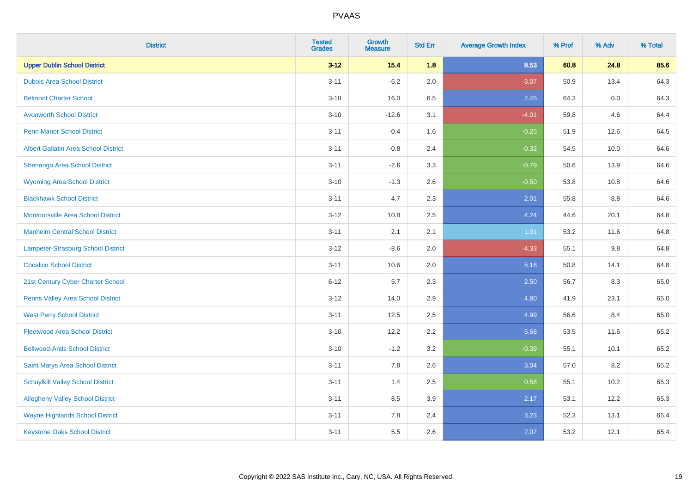| <b>District</b>                             | <b>Tested</b><br><b>Grades</b> | <b>Growth</b><br><b>Measure</b> | <b>Std Err</b> | <b>Average Growth Index</b> | % Prof | % Adv   | % Total |
|---------------------------------------------|--------------------------------|---------------------------------|----------------|-----------------------------|--------|---------|---------|
| <b>Upper Dublin School District</b>         | $3 - 12$                       | $15.4$                          | 1.8            | 8.53                        | 60.8   | 24.8    | 85.6    |
| <b>Dubois Area School District</b>          | $3 - 11$                       | $-6.2$                          | 2.0            | $-3.07$                     | 50.9   | 13.4    | 64.3    |
| <b>Belmont Charter School</b>               | $3 - 10$                       | 16.0                            | 6.5            | 2.45                        | 64.3   | $0.0\,$ | 64.3    |
| <b>Avonworth School District</b>            | $3 - 10$                       | $-12.6$                         | 3.1            | $-4.01$                     | 59.8   | 4.6     | 64.4    |
| <b>Penn Manor School District</b>           | $3 - 11$                       | $-0.4$                          | 1.6            | $-0.25$                     | 51.9   | 12.6    | 64.5    |
| <b>Albert Gallatin Area School District</b> | $3 - 11$                       | $-0.8$                          | 2.4            | $-0.32$                     | 54.5   | 10.0    | 64.6    |
| Shenango Area School District               | $3 - 11$                       | $-2.6$                          | 3.3            | $-0.79$                     | 50.6   | 13.9    | 64.6    |
| <b>Wyoming Area School District</b>         | $3 - 10$                       | $-1.3$                          | 2.6            | $-0.50$                     | 53.8   | 10.8    | 64.6    |
| <b>Blackhawk School District</b>            | $3 - 11$                       | 4.7                             | 2.3            | 2.01                        | 55.8   | $8.8\,$ | 64.6    |
| <b>Montoursville Area School District</b>   | $3 - 12$                       | 10.8                            | 2.5            | 4.24                        | 44.6   | 20.1    | 64.8    |
| <b>Manheim Central School District</b>      | $3 - 11$                       | 2.1                             | 2.1            | 1.01                        | 53.2   | 11.6    | 64.8    |
| Lampeter-Strasburg School District          | $3 - 12$                       | $-8.6$                          | 2.0            | $-4.33$                     | 55.1   | $9.8\,$ | 64.8    |
| <b>Cocalico School District</b>             | $3 - 11$                       | 10.6                            | 2.0            | 5.18                        | 50.8   | 14.1    | 64.8    |
| 21st Century Cyber Charter School           | $6 - 12$                       | 5.7                             | 2.3            | 2.50                        | 56.7   | 8.3     | 65.0    |
| Penns Valley Area School District           | $3 - 12$                       | 14.0                            | 2.9            | 4.80                        | 41.9   | 23.1    | 65.0    |
| <b>West Perry School District</b>           | $3 - 11$                       | 12.5                            | 2.5            | 4.99                        | 56.6   | 8.4     | 65.0    |
| <b>Fleetwood Area School District</b>       | $3 - 10$                       | 12.2                            | 2.2            | 5.68                        | 53.5   | 11.6    | 65.2    |
| <b>Bellwood-Antis School District</b>       | $3 - 10$                       | $-1.2$                          | 3.2            | $-0.39$                     | 55.1   | 10.1    | 65.2    |
| Saint Marys Area School District            | $3 - 11$                       | 7.8                             | 2.6            | 3.04                        | 57.0   | 8.2     | 65.2    |
| <b>Schuylkill Valley School District</b>    | $3 - 11$                       | 1.4                             | 2.5            | 0.56                        | 55.1   | 10.2    | 65.3    |
| <b>Allegheny Valley School District</b>     | $3 - 11$                       | 8.5                             | 3.9            | 2.17                        | 53.1   | 12.2    | 65.3    |
| <b>Wayne Highlands School District</b>      | $3 - 11$                       | 7.8                             | 2.4            | 3.23                        | 52.3   | 13.1    | 65.4    |
| <b>Keystone Oaks School District</b>        | $3 - 11$                       | 5.5                             | 2.6            | 2.07                        | 53.2   | 12.1    | 65.4    |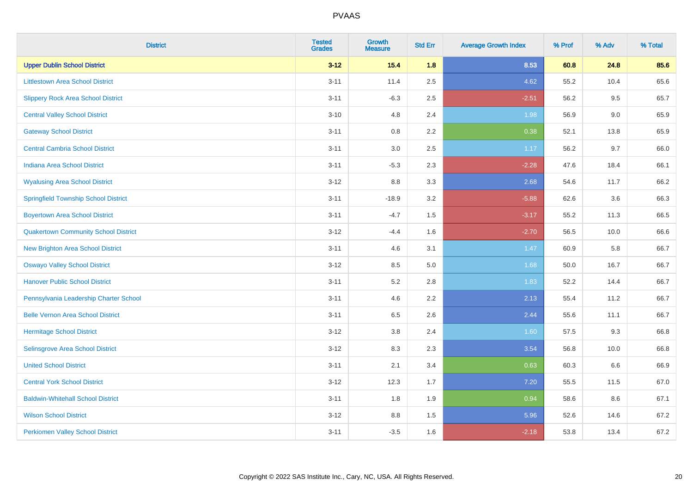| <b>District</b>                             | <b>Tested</b><br><b>Grades</b> | <b>Growth</b><br><b>Measure</b> | <b>Std Err</b> | <b>Average Growth Index</b> | % Prof | % Adv | % Total |
|---------------------------------------------|--------------------------------|---------------------------------|----------------|-----------------------------|--------|-------|---------|
| <b>Upper Dublin School District</b>         | $3 - 12$                       | 15.4                            | 1.8            | 8.53                        | 60.8   | 24.8  | 85.6    |
| <b>Littlestown Area School District</b>     | $3 - 11$                       | 11.4                            | 2.5            | 4.62                        | 55.2   | 10.4  | 65.6    |
| <b>Slippery Rock Area School District</b>   | $3 - 11$                       | $-6.3$                          | 2.5            | $-2.51$                     | 56.2   | 9.5   | 65.7    |
| <b>Central Valley School District</b>       | $3 - 10$                       | 4.8                             | 2.4            | 1.98                        | 56.9   | 9.0   | 65.9    |
| <b>Gateway School District</b>              | $3 - 11$                       | 0.8                             | 2.2            | 0.38                        | 52.1   | 13.8  | 65.9    |
| <b>Central Cambria School District</b>      | $3 - 11$                       | $3.0\,$                         | 2.5            | 1.17                        | 56.2   | 9.7   | 66.0    |
| Indiana Area School District                | $3 - 11$                       | $-5.3$                          | 2.3            | $-2.28$                     | 47.6   | 18.4  | 66.1    |
| <b>Wyalusing Area School District</b>       | $3 - 12$                       | $8.8\,$                         | 3.3            | 2.68                        | 54.6   | 11.7  | 66.2    |
| <b>Springfield Township School District</b> | $3 - 11$                       | $-18.9$                         | 3.2            | $-5.88$                     | 62.6   | 3.6   | 66.3    |
| <b>Boyertown Area School District</b>       | $3 - 11$                       | $-4.7$                          | 1.5            | $-3.17$                     | 55.2   | 11.3  | 66.5    |
| <b>Quakertown Community School District</b> | $3 - 12$                       | $-4.4$                          | 1.6            | $-2.70$                     | 56.5   | 10.0  | 66.6    |
| New Brighton Area School District           | $3 - 11$                       | 4.6                             | 3.1            | 1.47                        | 60.9   | 5.8   | 66.7    |
| <b>Oswayo Valley School District</b>        | $3 - 12$                       | 8.5                             | 5.0            | 1.68                        | 50.0   | 16.7  | 66.7    |
| <b>Hanover Public School District</b>       | $3 - 11$                       | 5.2                             | 2.8            | 1.83                        | 52.2   | 14.4  | 66.7    |
| Pennsylvania Leadership Charter School      | $3 - 11$                       | 4.6                             | 2.2            | 2.13                        | 55.4   | 11.2  | 66.7    |
| <b>Belle Vernon Area School District</b>    | $3 - 11$                       | 6.5                             | 2.6            | 2.44                        | 55.6   | 11.1  | 66.7    |
| <b>Hermitage School District</b>            | $3 - 12$                       | $3.8\,$                         | 2.4            | 1.60                        | 57.5   | 9.3   | 66.8    |
| Selinsgrove Area School District            | $3 - 12$                       | 8.3                             | 2.3            | 3.54                        | 56.8   | 10.0  | 66.8    |
| <b>United School District</b>               | $3 - 11$                       | 2.1                             | 3.4            | 0.63                        | 60.3   | 6.6   | 66.9    |
| <b>Central York School District</b>         | $3 - 12$                       | 12.3                            | 1.7            | 7.20                        | 55.5   | 11.5  | 67.0    |
| <b>Baldwin-Whitehall School District</b>    | $3 - 11$                       | 1.8                             | 1.9            | 0.94                        | 58.6   | 8.6   | 67.1    |
| <b>Wilson School District</b>               | $3 - 12$                       | 8.8                             | 1.5            | 5.96                        | 52.6   | 14.6  | 67.2    |
| <b>Perkiomen Valley School District</b>     | $3 - 11$                       | $-3.5$                          | 1.6            | $-2.18$                     | 53.8   | 13.4  | 67.2    |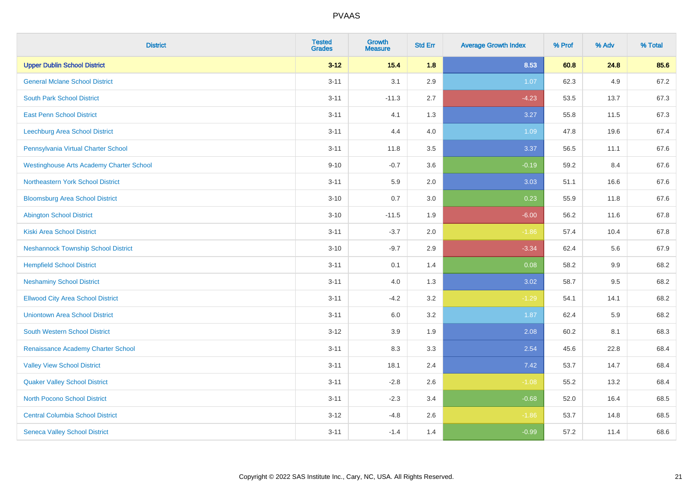| <b>District</b>                                 | <b>Tested</b><br><b>Grades</b> | <b>Growth</b><br><b>Measure</b> | <b>Std Err</b> | <b>Average Growth Index</b> | % Prof | % Adv | % Total |
|-------------------------------------------------|--------------------------------|---------------------------------|----------------|-----------------------------|--------|-------|---------|
| <b>Upper Dublin School District</b>             | $3 - 12$                       | 15.4                            | 1.8            | 8.53                        | 60.8   | 24.8  | 85.6    |
| <b>General Mclane School District</b>           | $3 - 11$                       | 3.1                             | 2.9            | 1.07                        | 62.3   | 4.9   | 67.2    |
| <b>South Park School District</b>               | $3 - 11$                       | $-11.3$                         | 2.7            | $-4.23$                     | 53.5   | 13.7  | 67.3    |
| <b>East Penn School District</b>                | $3 - 11$                       | 4.1                             | 1.3            | 3.27                        | 55.8   | 11.5  | 67.3    |
| Leechburg Area School District                  | $3 - 11$                       | 4.4                             | 4.0            | 1.09                        | 47.8   | 19.6  | 67.4    |
| Pennsylvania Virtual Charter School             | $3 - 11$                       | 11.8                            | 3.5            | 3.37                        | 56.5   | 11.1  | 67.6    |
| <b>Westinghouse Arts Academy Charter School</b> | $9 - 10$                       | $-0.7$                          | 3.6            | $-0.19$                     | 59.2   | 8.4   | 67.6    |
| Northeastern York School District               | $3 - 11$                       | 5.9                             | 2.0            | 3.03                        | 51.1   | 16.6  | 67.6    |
| <b>Bloomsburg Area School District</b>          | $3 - 10$                       | 0.7                             | 3.0            | 0.23                        | 55.9   | 11.8  | 67.6    |
| <b>Abington School District</b>                 | $3 - 10$                       | $-11.5$                         | 1.9            | $-6.00$                     | 56.2   | 11.6  | 67.8    |
| <b>Kiski Area School District</b>               | $3 - 11$                       | $-3.7$                          | 2.0            | $-1.86$                     | 57.4   | 10.4  | 67.8    |
| <b>Neshannock Township School District</b>      | $3 - 10$                       | $-9.7$                          | 2.9            | $-3.34$                     | 62.4   | 5.6   | 67.9    |
| <b>Hempfield School District</b>                | $3 - 11$                       | 0.1                             | 1.4            | 0.08                        | 58.2   | 9.9   | 68.2    |
| <b>Neshaminy School District</b>                | $3 - 11$                       | 4.0                             | 1.3            | 3.02                        | 58.7   | 9.5   | 68.2    |
| <b>Ellwood City Area School District</b>        | $3 - 11$                       | $-4.2$                          | 3.2            | $-1.29$                     | 54.1   | 14.1  | 68.2    |
| <b>Uniontown Area School District</b>           | $3 - 11$                       | 6.0                             | 3.2            | 1.87                        | 62.4   | 5.9   | 68.2    |
| <b>South Western School District</b>            | $3 - 12$                       | 3.9                             | 1.9            | 2.08                        | 60.2   | 8.1   | 68.3    |
| Renaissance Academy Charter School              | $3 - 11$                       | 8.3                             | 3.3            | 2.54                        | 45.6   | 22.8  | 68.4    |
| <b>Valley View School District</b>              | $3 - 11$                       | 18.1                            | 2.4            | 7.42                        | 53.7   | 14.7  | 68.4    |
| <b>Quaker Valley School District</b>            | $3 - 11$                       | $-2.8$                          | 2.6            | $-1.08$                     | 55.2   | 13.2  | 68.4    |
| North Pocono School District                    | $3 - 11$                       | $-2.3$                          | 3.4            | $-0.68$                     | 52.0   | 16.4  | 68.5    |
| <b>Central Columbia School District</b>         | $3 - 12$                       | $-4.8$                          | 2.6            | $-1.86$                     | 53.7   | 14.8  | 68.5    |
| <b>Seneca Valley School District</b>            | $3 - 11$                       | $-1.4$                          | 1.4            | $-0.99$                     | 57.2   | 11.4  | 68.6    |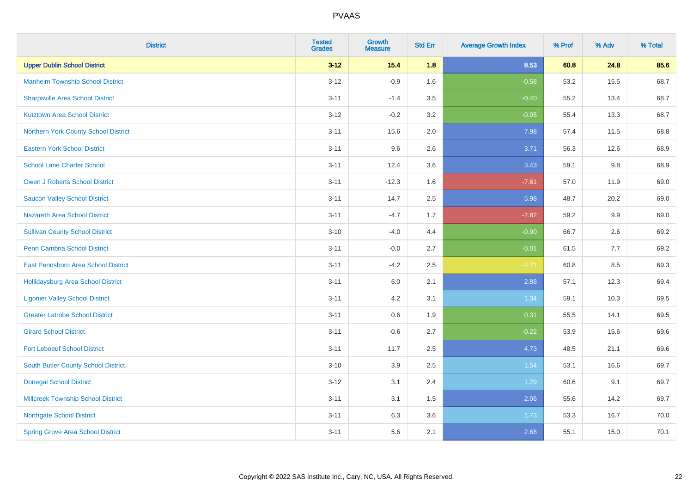| <b>District</b>                           | <b>Tested</b><br><b>Grades</b> | <b>Growth</b><br><b>Measure</b> | <b>Std Err</b> | <b>Average Growth Index</b> | % Prof | % Adv   | % Total |
|-------------------------------------------|--------------------------------|---------------------------------|----------------|-----------------------------|--------|---------|---------|
| <b>Upper Dublin School District</b>       | $3 - 12$                       | $15.4$                          | 1.8            | 8.53                        | 60.8   | 24.8    | 85.6    |
| <b>Manheim Township School District</b>   | $3 - 12$                       | $-0.9$                          | 1.6            | $-0.58$                     | 53.2   | 15.5    | 68.7    |
| <b>Sharpsville Area School District</b>   | $3 - 11$                       | $-1.4$                          | 3.5            | $-0.40$                     | 55.2   | 13.4    | 68.7    |
| <b>Kutztown Area School District</b>      | $3 - 12$                       | $-0.2$                          | 3.2            | $-0.05$                     | 55.4   | 13.3    | 68.7    |
| Northern York County School District      | $3 - 11$                       | 15.6                            | 2.0            | 7.98                        | 57.4   | 11.5    | 68.8    |
| <b>Eastern York School District</b>       | $3 - 11$                       | 9.6                             | 2.6            | 3.71                        | 56.3   | 12.6    | 68.9    |
| <b>School Lane Charter School</b>         | $3 - 11$                       | 12.4                            | 3.6            | 3.43                        | 59.1   | $9.8\,$ | 68.9    |
| <b>Owen J Roberts School District</b>     | $3 - 11$                       | $-12.3$                         | 1.6            | $-7.61$                     | 57.0   | 11.9    | 69.0    |
| <b>Saucon Valley School District</b>      | $3 - 11$                       | 14.7                            | 2.5            | 5.98                        | 48.7   | 20.2    | 69.0    |
| <b>Nazareth Area School District</b>      | $3 - 11$                       | $-4.7$                          | 1.7            | $-2.82$                     | 59.2   | 9.9     | 69.0    |
| <b>Sullivan County School District</b>    | $3 - 10$                       | $-4.0$                          | 4.4            | $-0.90$                     | 66.7   | 2.6     | 69.2    |
| Penn Cambria School District              | $3 - 11$                       | $-0.0$                          | 2.7            | $-0.01$                     | 61.5   | 7.7     | 69.2    |
| East Pennsboro Area School District       | $3 - 11$                       | $-4.2$                          | 2.5            | $-1.71$                     | 60.8   | 8.5     | 69.3    |
| <b>Hollidaysburg Area School District</b> | $3 - 11$                       | 6.0                             | 2.1            | 2.88                        | 57.1   | 12.3    | 69.4    |
| <b>Ligonier Valley School District</b>    | $3 - 11$                       | 4.2                             | 3.1            | 1.34                        | 59.1   | 10.3    | 69.5    |
| <b>Greater Latrobe School District</b>    | $3 - 11$                       | 0.6                             | 1.9            | 0.31                        | 55.5   | 14.1    | 69.5    |
| <b>Girard School District</b>             | $3 - 11$                       | $-0.6$                          | 2.7            | $-0.22$                     | 53.9   | 15.6    | 69.6    |
| <b>Fort Leboeuf School District</b>       | $3 - 11$                       | 11.7                            | 2.5            | 4.73                        | 48.5   | 21.1    | 69.6    |
| South Butler County School District       | $3 - 10$                       | 3.9                             | 2.5            | 1.54                        | 53.1   | 16.6    | 69.7    |
| <b>Donegal School District</b>            | $3 - 12$                       | 3.1                             | 2.4            | 1.29                        | 60.6   | 9.1     | 69.7    |
| <b>Millcreek Township School District</b> | $3 - 11$                       | 3.1                             | 1.5            | 2.06                        | 55.6   | 14.2    | 69.7    |
| <b>Northgate School District</b>          | $3 - 11$                       | 6.3                             | 3.6            | 1.73                        | 53.3   | 16.7    | 70.0    |
| <b>Spring Grove Area School District</b>  | $3 - 11$                       | 5.6                             | 2.1            | 2.68                        | 55.1   | 15.0    | 70.1    |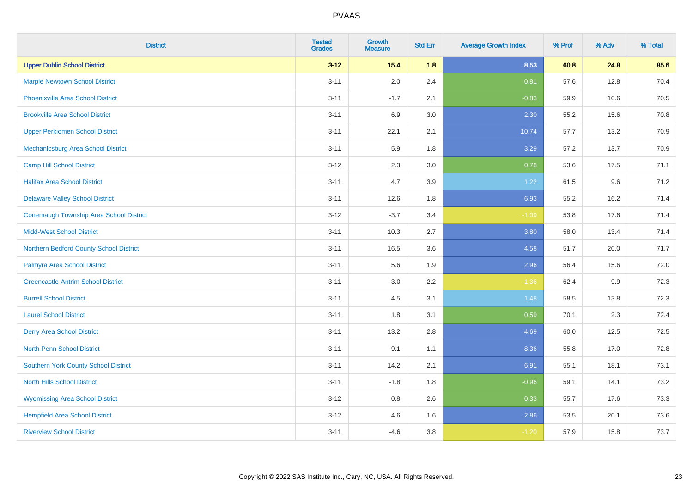| <b>District</b>                                | <b>Tested</b><br><b>Grades</b> | <b>Growth</b><br><b>Measure</b> | <b>Std Err</b> | <b>Average Growth Index</b> | % Prof | % Adv | % Total |
|------------------------------------------------|--------------------------------|---------------------------------|----------------|-----------------------------|--------|-------|---------|
| <b>Upper Dublin School District</b>            | $3 - 12$                       | 15.4                            | 1.8            | 8.53                        | 60.8   | 24.8  | 85.6    |
| <b>Marple Newtown School District</b>          | $3 - 11$                       | 2.0                             | 2.4            | 0.81                        | 57.6   | 12.8  | 70.4    |
| <b>Phoenixville Area School District</b>       | $3 - 11$                       | $-1.7$                          | 2.1            | $-0.83$                     | 59.9   | 10.6  | 70.5    |
| <b>Brookville Area School District</b>         | $3 - 11$                       | 6.9                             | $3.0\,$        | 2.30                        | 55.2   | 15.6  | 70.8    |
| <b>Upper Perkiomen School District</b>         | $3 - 11$                       | 22.1                            | 2.1            | 10.74                       | 57.7   | 13.2  | 70.9    |
| Mechanicsburg Area School District             | $3 - 11$                       | 5.9                             | 1.8            | 3.29                        | 57.2   | 13.7  | 70.9    |
| <b>Camp Hill School District</b>               | $3-12$                         | 2.3                             | 3.0            | 0.78                        | 53.6   | 17.5  | 71.1    |
| <b>Halifax Area School District</b>            | $3 - 11$                       | 4.7                             | 3.9            | 1.22                        | 61.5   | 9.6   | 71.2    |
| <b>Delaware Valley School District</b>         | $3 - 11$                       | 12.6                            | 1.8            | 6.93                        | 55.2   | 16.2  | 71.4    |
| <b>Conemaugh Township Area School District</b> | $3 - 12$                       | $-3.7$                          | 3.4            | $-1.09$                     | 53.8   | 17.6  | 71.4    |
| <b>Midd-West School District</b>               | $3 - 11$                       | 10.3                            | 2.7            | 3.80                        | 58.0   | 13.4  | 71.4    |
| Northern Bedford County School District        | $3 - 11$                       | 16.5                            | 3.6            | 4.58                        | 51.7   | 20.0  | 71.7    |
| Palmyra Area School District                   | $3 - 11$                       | 5.6                             | 1.9            | 2.96                        | 56.4   | 15.6  | 72.0    |
| <b>Greencastle-Antrim School District</b>      | $3 - 11$                       | $-3.0$                          | 2.2            | $-1.36$                     | 62.4   | 9.9   | 72.3    |
| <b>Burrell School District</b>                 | $3 - 11$                       | 4.5                             | 3.1            | 1.48                        | 58.5   | 13.8  | 72.3    |
| <b>Laurel School District</b>                  | $3 - 11$                       | 1.8                             | 3.1            | 0.59                        | 70.1   | 2.3   | 72.4    |
| <b>Derry Area School District</b>              | $3 - 11$                       | 13.2                            | 2.8            | 4.69                        | 60.0   | 12.5  | 72.5    |
| <b>North Penn School District</b>              | $3 - 11$                       | 9.1                             | 1.1            | 8.36                        | 55.8   | 17.0  | 72.8    |
| Southern York County School District           | $3 - 11$                       | 14.2                            | 2.1            | 6.91                        | 55.1   | 18.1  | 73.1    |
| <b>North Hills School District</b>             | $3 - 11$                       | $-1.8$                          | 1.8            | $-0.96$                     | 59.1   | 14.1  | 73.2    |
| <b>Wyomissing Area School District</b>         | $3 - 12$                       | 0.8                             | 2.6            | 0.33                        | 55.7   | 17.6  | 73.3    |
| <b>Hempfield Area School District</b>          | $3-12$                         | 4.6                             | 1.6            | 2.86                        | 53.5   | 20.1  | 73.6    |
| <b>Riverview School District</b>               | $3 - 11$                       | $-4.6$                          | $3.8\,$        | $-1.20$                     | 57.9   | 15.8  | 73.7    |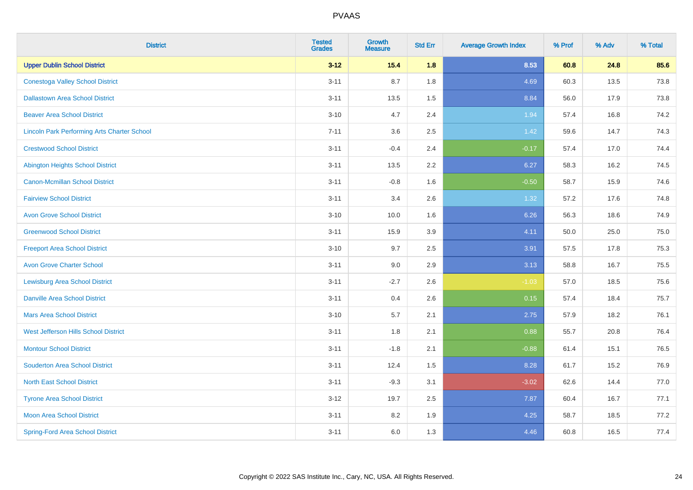| <b>District</b>                                    | <b>Tested</b><br><b>Grades</b> | <b>Growth</b><br><b>Measure</b> | <b>Std Err</b> | <b>Average Growth Index</b> | % Prof | % Adv | % Total |
|----------------------------------------------------|--------------------------------|---------------------------------|----------------|-----------------------------|--------|-------|---------|
| <b>Upper Dublin School District</b>                | $3 - 12$                       | $15.4$                          | 1.8            | 8.53                        | 60.8   | 24.8  | 85.6    |
| <b>Conestoga Valley School District</b>            | $3 - 11$                       | 8.7                             | 1.8            | 4.69                        | 60.3   | 13.5  | 73.8    |
| <b>Dallastown Area School District</b>             | $3 - 11$                       | 13.5                            | 1.5            | 8.84                        | 56.0   | 17.9  | 73.8    |
| <b>Beaver Area School District</b>                 | $3 - 10$                       | 4.7                             | 2.4            | 1.94                        | 57.4   | 16.8  | 74.2    |
| <b>Lincoln Park Performing Arts Charter School</b> | $7 - 11$                       | 3.6                             | 2.5            | 1.42                        | 59.6   | 14.7  | 74.3    |
| <b>Crestwood School District</b>                   | $3 - 11$                       | $-0.4$                          | 2.4            | $-0.17$                     | 57.4   | 17.0  | 74.4    |
| <b>Abington Heights School District</b>            | $3 - 11$                       | 13.5                            | 2.2            | 6.27                        | 58.3   | 16.2  | 74.5    |
| <b>Canon-Mcmillan School District</b>              | $3 - 11$                       | $-0.8$                          | 1.6            | $-0.50$                     | 58.7   | 15.9  | 74.6    |
| <b>Fairview School District</b>                    | $3 - 11$                       | 3.4                             | 2.6            | 1.32                        | 57.2   | 17.6  | 74.8    |
| <b>Avon Grove School District</b>                  | $3 - 10$                       | 10.0                            | 1.6            | 6.26                        | 56.3   | 18.6  | 74.9    |
| <b>Greenwood School District</b>                   | $3 - 11$                       | 15.9                            | 3.9            | 4.11                        | 50.0   | 25.0  | 75.0    |
| <b>Freeport Area School District</b>               | $3 - 10$                       | 9.7                             | 2.5            | 3.91                        | 57.5   | 17.8  | 75.3    |
| <b>Avon Grove Charter School</b>                   | $3 - 11$                       | 9.0                             | 2.9            | 3.13                        | 58.8   | 16.7  | 75.5    |
| <b>Lewisburg Area School District</b>              | $3 - 11$                       | $-2.7$                          | 2.6            | $-1.03$                     | 57.0   | 18.5  | 75.6    |
| <b>Danville Area School District</b>               | $3 - 11$                       | 0.4                             | 2.6            | 0.15                        | 57.4   | 18.4  | 75.7    |
| <b>Mars Area School District</b>                   | $3 - 10$                       | 5.7                             | 2.1            | 2.75                        | 57.9   | 18.2  | 76.1    |
| West Jefferson Hills School District               | $3 - 11$                       | 1.8                             | 2.1            | 0.88                        | 55.7   | 20.8  | 76.4    |
| <b>Montour School District</b>                     | $3 - 11$                       | $-1.8$                          | 2.1            | $-0.88$                     | 61.4   | 15.1  | 76.5    |
| <b>Souderton Area School District</b>              | $3 - 11$                       | 12.4                            | 1.5            | 8.28                        | 61.7   | 15.2  | 76.9    |
| <b>North East School District</b>                  | $3 - 11$                       | $-9.3$                          | 3.1            | $-3.02$                     | 62.6   | 14.4  | 77.0    |
| <b>Tyrone Area School District</b>                 | $3 - 12$                       | 19.7                            | 2.5            | 7.87                        | 60.4   | 16.7  | 77.1    |
| <b>Moon Area School District</b>                   | $3 - 11$                       | 8.2                             | 1.9            | 4.25                        | 58.7   | 18.5  | 77.2    |
| <b>Spring-Ford Area School District</b>            | $3 - 11$                       | 6.0                             | 1.3            | 4.46                        | 60.8   | 16.5  | 77.4    |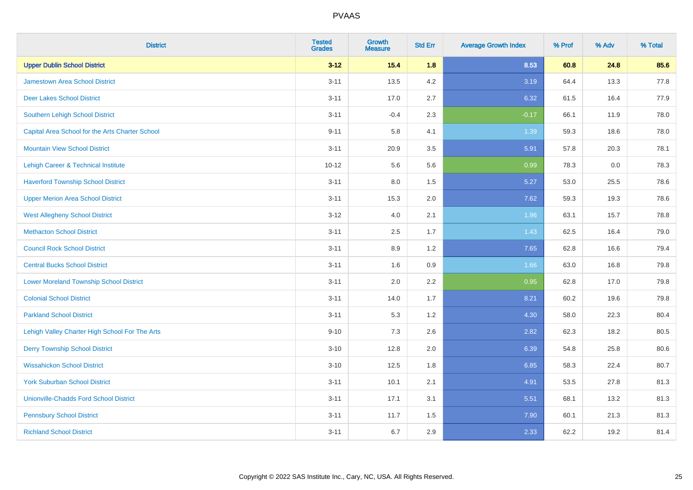| <b>District</b>                                 | <b>Tested</b><br><b>Grades</b> | <b>Growth</b><br><b>Measure</b> | <b>Std Err</b> | <b>Average Growth Index</b> | % Prof | % Adv | % Total |
|-------------------------------------------------|--------------------------------|---------------------------------|----------------|-----------------------------|--------|-------|---------|
| <b>Upper Dublin School District</b>             | $3 - 12$                       | 15.4                            | 1.8            | 8.53                        | 60.8   | 24.8  | 85.6    |
| <b>Jamestown Area School District</b>           | $3 - 11$                       | 13.5                            | 4.2            | 3.19                        | 64.4   | 13.3  | 77.8    |
| <b>Deer Lakes School District</b>               | $3 - 11$                       | 17.0                            | 2.7            | 6.32                        | 61.5   | 16.4  | 77.9    |
| Southern Lehigh School District                 | $3 - 11$                       | $-0.4$                          | 2.3            | $-0.17$                     | 66.1   | 11.9  | 78.0    |
| Capital Area School for the Arts Charter School | $9 - 11$                       | 5.8                             | 4.1            | 1.39                        | 59.3   | 18.6  | 78.0    |
| <b>Mountain View School District</b>            | $3 - 11$                       | 20.9                            | 3.5            | 5.91                        | 57.8   | 20.3  | 78.1    |
| Lehigh Career & Technical Institute             | $10 - 12$                      | 5.6                             | 5.6            | 0.99                        | 78.3   | 0.0   | 78.3    |
| <b>Haverford Township School District</b>       | $3 - 11$                       | $8.0\,$                         | 1.5            | 5.27                        | 53.0   | 25.5  | 78.6    |
| <b>Upper Merion Area School District</b>        | $3 - 11$                       | 15.3                            | 2.0            | 7.62                        | 59.3   | 19.3  | 78.6    |
| <b>West Allegheny School District</b>           | $3 - 12$                       | 4.0                             | 2.1            | 1.96                        | 63.1   | 15.7  | 78.8    |
| <b>Methacton School District</b>                | $3 - 11$                       | 2.5                             | 1.7            | 1.43                        | 62.5   | 16.4  | 79.0    |
| <b>Council Rock School District</b>             | $3 - 11$                       | 8.9                             | 1.2            | 7.65                        | 62.8   | 16.6  | 79.4    |
| <b>Central Bucks School District</b>            | $3 - 11$                       | 1.6                             | 0.9            | 1.66                        | 63.0   | 16.8  | 79.8    |
| <b>Lower Moreland Township School District</b>  | $3 - 11$                       | 2.0                             | 2.2            | 0.95                        | 62.8   | 17.0  | 79.8    |
| <b>Colonial School District</b>                 | $3 - 11$                       | 14.0                            | 1.7            | 8.21                        | 60.2   | 19.6  | 79.8    |
| <b>Parkland School District</b>                 | $3 - 11$                       | 5.3                             | 1.2            | 4.30                        | 58.0   | 22.3  | 80.4    |
| Lehigh Valley Charter High School For The Arts  | $9 - 10$                       | 7.3                             | 2.6            | 2.82                        | 62.3   | 18.2  | 80.5    |
| <b>Derry Township School District</b>           | $3 - 10$                       | 12.8                            | 2.0            | 6.39                        | 54.8   | 25.8  | 80.6    |
| <b>Wissahickon School District</b>              | $3 - 10$                       | 12.5                            | 1.8            | 6.85                        | 58.3   | 22.4  | 80.7    |
| <b>York Suburban School District</b>            | $3 - 11$                       | 10.1                            | 2.1            | 4.91                        | 53.5   | 27.8  | 81.3    |
| <b>Unionville-Chadds Ford School District</b>   | $3 - 11$                       | 17.1                            | 3.1            | 5.51                        | 68.1   | 13.2  | 81.3    |
| <b>Pennsbury School District</b>                | $3 - 11$                       | 11.7                            | 1.5            | 7.90                        | 60.1   | 21.3  | 81.3    |
| <b>Richland School District</b>                 | $3 - 11$                       | 6.7                             | 2.9            | 2.33                        | 62.2   | 19.2  | 81.4    |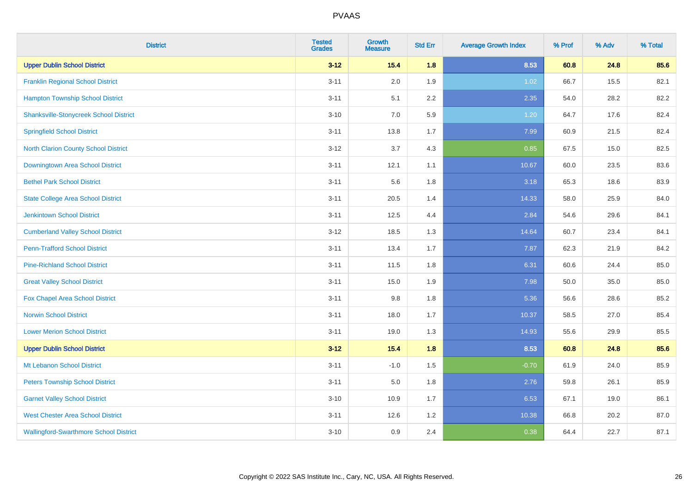| <b>District</b>                               | <b>Tested</b><br><b>Grades</b> | <b>Growth</b><br><b>Measure</b> | <b>Std Err</b> | <b>Average Growth Index</b> | % Prof | % Adv | % Total |
|-----------------------------------------------|--------------------------------|---------------------------------|----------------|-----------------------------|--------|-------|---------|
| <b>Upper Dublin School District</b>           | $3 - 12$                       | 15.4                            | 1.8            | 8.53                        | 60.8   | 24.8  | 85.6    |
| <b>Franklin Regional School District</b>      | $3 - 11$                       | 2.0                             | 1.9            | 1.02                        | 66.7   | 15.5  | 82.1    |
| <b>Hampton Township School District</b>       | $3 - 11$                       | 5.1                             | 2.2            | 2.35                        | 54.0   | 28.2  | 82.2    |
| <b>Shanksville-Stonycreek School District</b> | $3 - 10$                       | 7.0                             | 5.9            | 1.20                        | 64.7   | 17.6  | 82.4    |
| <b>Springfield School District</b>            | $3 - 11$                       | 13.8                            | 1.7            | 7.99                        | 60.9   | 21.5  | 82.4    |
| North Clarion County School District          | $3 - 12$                       | 3.7                             | 4.3            | 0.85                        | 67.5   | 15.0  | 82.5    |
| Downingtown Area School District              | $3 - 11$                       | 12.1                            | 1.1            | 10.67                       | 60.0   | 23.5  | 83.6    |
| <b>Bethel Park School District</b>            | $3 - 11$                       | 5.6                             | 1.8            | 3.18                        | 65.3   | 18.6  | 83.9    |
| <b>State College Area School District</b>     | $3 - 11$                       | 20.5                            | 1.4            | 14.33                       | 58.0   | 25.9  | 84.0    |
| <b>Jenkintown School District</b>             | $3 - 11$                       | 12.5                            | 4.4            | 2.84                        | 54.6   | 29.6  | 84.1    |
| <b>Cumberland Valley School District</b>      | $3 - 12$                       | 18.5                            | 1.3            | 14.64                       | 60.7   | 23.4  | 84.1    |
| <b>Penn-Trafford School District</b>          | $3 - 11$                       | 13.4                            | 1.7            | 7.87                        | 62.3   | 21.9  | 84.2    |
| <b>Pine-Richland School District</b>          | $3 - 11$                       | 11.5                            | 1.8            | 6.31                        | 60.6   | 24.4  | 85.0    |
| <b>Great Valley School District</b>           | $3 - 11$                       | 15.0                            | 1.9            | 7.98                        | 50.0   | 35.0  | 85.0    |
| Fox Chapel Area School District               | $3 - 11$                       | 9.8                             | 1.8            | 5.36                        | 56.6   | 28.6  | 85.2    |
| <b>Norwin School District</b>                 | $3 - 11$                       | 18.0                            | 1.7            | 10.37                       | 58.5   | 27.0  | 85.4    |
| <b>Lower Merion School District</b>           | $3 - 11$                       | 19.0                            | 1.3            | 14.93                       | 55.6   | 29.9  | 85.5    |
| <b>Upper Dublin School District</b>           | $3 - 12$                       | 15.4                            | 1.8            | 8.53                        | 60.8   | 24.8  | 85.6    |
| Mt Lebanon School District                    | $3 - 11$                       | $-1.0$                          | 1.5            | $-0.70$                     | 61.9   | 24.0  | 85.9    |
| <b>Peters Township School District</b>        | $3 - 11$                       | 5.0                             | 1.8            | 2.76                        | 59.8   | 26.1  | 85.9    |
| <b>Garnet Valley School District</b>          | $3 - 10$                       | 10.9                            | 1.7            | 6.53                        | 67.1   | 19.0  | 86.1    |
| <b>West Chester Area School District</b>      | $3 - 11$                       | 12.6                            | 1.2            | 10.38                       | 66.8   | 20.2  | 87.0    |
| <b>Wallingford-Swarthmore School District</b> | $3 - 10$                       | 0.9                             | 2.4            | 0.38                        | 64.4   | 22.7  | 87.1    |